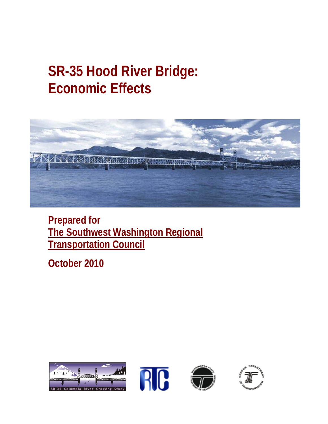# **SR-35 Hood River Bridge: Economic Effects**



**Prepared for The Southwest Washington Regional Transportation Council**

**October 2010**

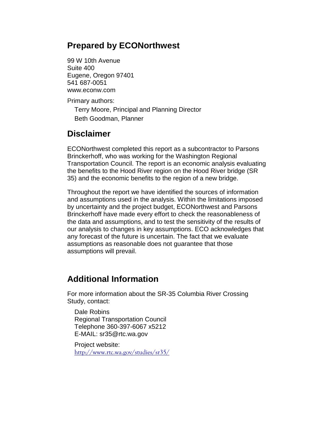#### **Prepared by ECONorthwest**

99 W 10th Avenue Suite 400 Eugene, Oregon 97401 541 687-0051 www.econw.com

Primary authors:

Terry Moore, Principal and Planning Director Beth Goodman, Planner

#### **Disclaimer**

ECONorthwest completed this report as a subcontractor to Parsons Brinckerhoff, who was working for the Washington Regional Transportation Council. The report is an economic analysis evaluating the benefits to the Hood River region on the Hood River bridge (SR 35) and the economic benefits to the region of a new bridge.

Throughout the report we have identified the sources of information and assumptions used in the analysis. Within the limitations imposed by uncertainty and the project budget, ECONorthwest and Parsons Brinckerhoff have made every effort to check the reasonableness of the data and assumptions, and to test the sensitivity of the results of our analysis to changes in key assumptions. ECO acknowledges that any forecast of the future is uncertain. The fact that we evaluate assumptions as reasonable does not guarantee that those assumptions will prevail.

#### **Additional Information**

For more information about the SR-35 Columbia River Crossing Study, contact:

Dale Robins Regional Transportation Council Telephone 360-397-6067 x5212 E-MAIL: sr35@rtc.wa.gov

Project website: <http://www.rtc.wa.gov/studies/sr35/>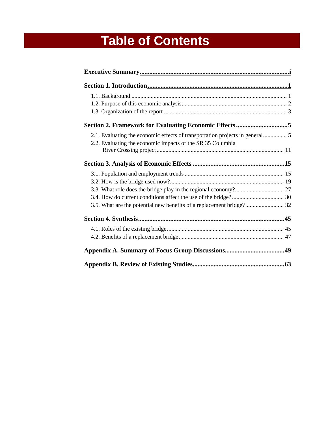# **Table of Contents**

| Section 2. Framework for Evaluating Economic Effects5                |
|----------------------------------------------------------------------|
|                                                                      |
| 2.2. Evaluating the economic impacts of the SR 35 Columbia           |
|                                                                      |
|                                                                      |
|                                                                      |
|                                                                      |
|                                                                      |
|                                                                      |
| 3.5. What are the potential new benefits of a replacement bridge? 32 |
|                                                                      |
|                                                                      |
|                                                                      |
|                                                                      |
|                                                                      |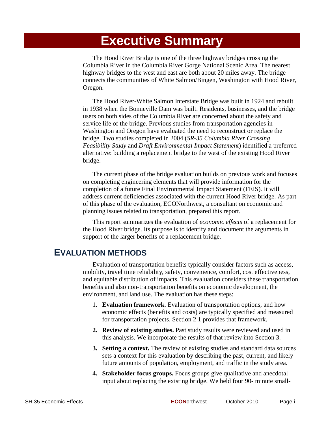## **Executive Summary**

The Hood River Bridge is one of the three highway bridges crossing the Columbia River in the Columbia River Gorge National Scenic Area. The nearest highway bridges to the west and east are both about 20 miles away. The bridge connects the communities of White Salmon/Bingen, Washington with Hood River, Oregon.

The Hood River-White Salmon Interstate Bridge was built in 1924 and rebuilt in 1938 when the Bonneville Dam was built. Residents, businesses, and the bridge users on both sides of the Columbia River are concerned about the safety and service life of the bridge. Previous studies from transportation agencies in Washington and Oregon have evaluated the need to reconstruct or replace the bridge. Two studies completed in 2004 (*SR-35 Columbia River Crossing Feasibility Study* and *Draft Environmental Impact Statement*) identified a preferred alternative: building a replacement bridge to the west of the existing Hood River bridge.

The current phase of the bridge evaluation builds on previous work and focuses on completing engineering elements that will provide information for the completion of a future Final Environmental Impact Statement (FEIS). It will address current deficiencies associated with the current Hood River bridge. As part of this phase of the evaluation, ECONorthwest, a consultant on economic and planning issues related to transportation, prepared this report.

This report summarizes the evaluation of *economic effects* of a replacement for the Hood River bridge. Its purpose is to identify and document the arguments in support of the larger benefits of a replacement bridge.

#### **EVALUATION METHODS**

Evaluation of transportation benefits typically consider factors such as access, mobility, travel time reliability, safety, convenience, comfort, cost effectiveness, and equitable distribution of impacts. This evaluation considers these transportation benefits and also non-transportation benefits on economic development, the environment, and land use. The evaluation has these steps:

- 1. **Evaluation framework**. Evaluation of transportation options, and how economic effects (benefits and costs) are typically specified and measured for transportation projects. Section 2.1 provides that framework.
- **2. Review of existing studies.** Past study results were reviewed and used in this analysis. We incorporate the results of that review into Section 3.
- **3. Setting a context.** The review of existing studies and standard data sources sets a context for this evaluation by describing the past, current, and likely future amounts of population, employment, and traffic in the study area.
- **4. Stakeholder focus groups.** Focus groups give qualitative and anecdotal input about replacing the existing bridge. We held four 90- minute small-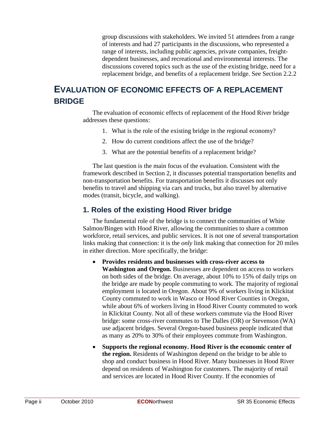group discussions with stakeholders. We invited 51 attendees from a range of interests and had 27 participants in the discussions, who represented a range of interests, including public agencies, private companies, freightdependent businesses, and recreational and environmental interests. The discussions covered topics such as the use of the existing bridge, need for a replacement bridge, and benefits of a replacement bridge. See Section 2.2.2

#### **EVALUATION OF ECONOMIC EFFECTS OF A REPLACEMENT BRIDGE**

The evaluation of economic effects of replacement of the Hood River bridge addresses these questions:

- 1. What is the role of the existing bridge in the regional economy?
- 2. How do current conditions affect the use of the bridge?
- 3. What are the potential benefits of a replacement bridge?

The last question is the main focus of the evaluation. Consistent with the framework described in Section 2, it discusses potential transportation benefits and non-transportation benefits. For transportation benefits it discusses not only benefits to travel and shipping via cars and trucks, but also travel by alternative modes (transit, bicycle, and walking).

#### **1. Roles of the existing Hood River bridge**

The fundamental role of the bridge is to connect the communities of White Salmon/Bingen with Hood River, allowing the communities to share a common workforce, retail services, and public services. It is not one of several transportation links making that connection: it is the *only* link making that connection for 20 miles in either direction. More specifically, the bridge:

- **Provides residents and businesses with cross-river access to Washington and Oregon.** Businesses are dependent on access to workers on both sides of the bridge. On average, about 10% to 15% of daily trips on the bridge are made by people commuting to work. The majority of regional employment is located in Oregon. About 9% of workers living in Klickitat County commuted to work in Wasco or Hood River Counties in Oregon, while about 6% of workers living in Hood River County commuted to work in Klickitat County. Not all of these workers commute via the Hood River bridge: some cross-river commutes to The Dalles (OR) or Stevenson (WA) use adjacent bridges. Several Oregon-based business people indicated that as many as 20% to 30% of their employees commute from Washington.
- **Supports the regional economy. Hood River is the economic center of the region.** Residents of Washington depend on the bridge to be able to shop and conduct business in Hood River. Many businesses in Hood River depend on residents of Washington for customers. The majority of retail and services are located in Hood River County. If the economies of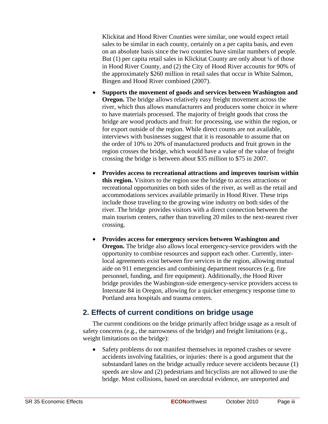Klickitat and Hood River Counties were similar, one would expect retail sales to be similar in each county, certainly on a per capita basis, and even on an absolute basis since the two counties have similar numbers of people. But (1) per capita retail sales in Klickitat County are only about  $\frac{1}{4}$  of those in Hood River County, and (2) the City of Hood River accounts for 90% of the approximately \$260 million in retail sales that occur in White Salmon, Bingen and Hood River combined (2007).

- **Supports the movement of goods and services between Washington and Oregon.** The bridge allows relatively easy freight movement across the river, which thus allows manufacturers and producers some choice in where to have materials processed. The majority of freight goods that cross the bridge are wood products and fruit: for processing, use within the region, or for export outside of the region. While direct counts are not available, interviews with businesses suggest that it is reasonable to assume that on the order of 10% to 20% of manufactured products and fruit grown in the region crosses the bridge, which would have a value of the value of freight crossing the bridge is between about \$35 million to \$75 in 2007.
- **Provides access to recreational attractions and improves tourism within this region.** Visitors to the region use the bridge to access attractions or recreational opportunities on both sides of the river, as well as the retail and accommodations services available primarily in Hood River. These trips include those traveling to the growing wine industry on both sides of the river. The bridge provides visitors with a direct connection between the main tourism centers, rather than traveling 20 miles to the next-nearest river crossing.
- **Provides access for emergency services between Washington and Oregon.** The bridge also allows local emergency-service providers with the opportunity to combine resources and support each other. Currently, interlocal agreements exist between fire services in the region, allowing mutual aide on 911 emergencies and combining department resources (e.g. fire personnel, funding, and fire equipment). Additionally, the Hood River bridge provides the Washington-side emergency-service providers access to Interstate 84 in Oregon, allowing for a quicker emergency response time to Portland area hospitals and trauma centers.

#### **2. Effects of current conditions on bridge usage**

The current conditions on the bridge primarily affect bridge usage as a result of safety concerns (e.g., the narrowness of the bridge) and freight limitations (e.g., weight limitations on the bridge):

• Safety problems do not manifest themselves in reported crashes or severe accidents involving fatalities, or injuries: there is a good argument that the substandard lanes on the bridge actually reduce severe accidents because (1) speeds are slow and (2) pedestrians and bicyclists are not allowed to use the bridge. Most collisions, based on anecdotal evidence, are unreported and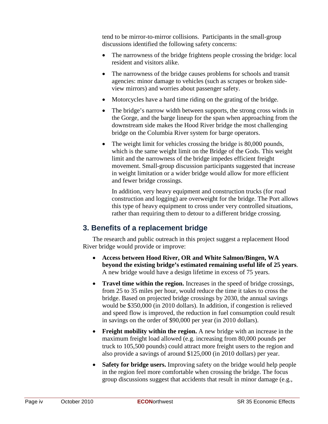tend to be mirror-to-mirror collisions. Participants in the small-group discussions identified the following safety concerns:

- The narrowness of the bridge frightens people crossing the bridge: local resident and visitors alike.
- The narrowness of the bridge causes problems for schools and transit agencies: minor damage to vehicles (such as scrapes or broken sideview mirrors) and worries about passenger safety.
- Motorcycles have a hard time riding on the grating of the bridge.
- The bridge's narrow width between supports, the strong cross winds in the Gorge, and the barge lineup for the span when approaching from the downstream side makes the Hood River bridge the most challenging bridge on the Columbia River system for barge operators.
- The weight limit for vehicles crossing the bridge is 80,000 pounds, which is the same weight limit on the Bridge of the Gods. This weight limit and the narrowness of the bridge impedes efficient freight movement. Small-group discussion participants suggested that increase in weight limitation or a wider bridge would allow for more efficient and fewer bridge crossings.

In addition, very heavy equipment and construction trucks (for road construction and logging) are overweight for the bridge. The Port allows this type of heavy equipment to cross under very controlled situations, rather than requiring them to detour to a different bridge crossing.

#### **3. Benefits of a replacement bridge**

The research and public outreach in this project suggest a replacement Hood River bridge would provide or improve:

- **Access between Hood River, OR and White Salmon/Bingen, WA beyond the existing bridge's estimated remaining useful life of 25 years**. A new bridge would have a design lifetime in excess of 75 years.
- **Travel time within the region.** Increases in the speed of bridge crossings, from 25 to 35 miles per hour, would reduce the time it takes to cross the bridge. Based on projected bridge crossings by 2030, the annual savings would be \$350,000 (in 2010 dollars). In addition, if congestion is relieved and speed flow is improved, the reduction in fuel consumption could result in savings on the order of \$90,000 per year (in 2010 dollars).
- **Freight mobility within the region.** A new bridge with an increase in the maximum freight load allowed (e.g. increasing from 80,000 pounds per truck to 105,500 pounds) could attract more freight users to the region and also provide a savings of around \$125,000 (in 2010 dollars) per year.
- **Safety for bridge users.** Improving safety on the bridge would help people in the region feel more comfortable when crossing the bridge. The focus group discussions suggest that accidents that result in minor damage (e.g.,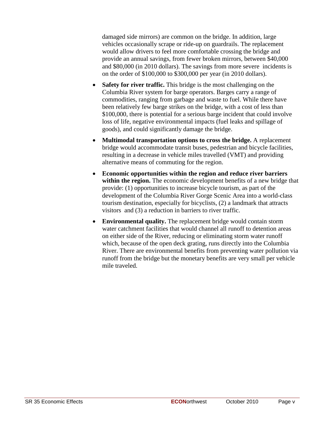damaged side mirrors) are common on the bridge. In addition, large vehicles occasionally scrape or ride-up on guardrails. The replacement would allow drivers to feel more comfortable crossing the bridge and provide an annual savings, from fewer broken mirrors, between \$40,000 and \$80,000 (in 2010 dollars). The savings from more severe incidents is on the order of \$100,000 to \$300,000 per year (in 2010 dollars).

- **Safety for river traffic.** This bridge is the most challenging on the Columbia River system for barge operators. Barges carry a range of commodities, ranging from garbage and waste to fuel. While there have been relatively few barge strikes on the bridge, with a cost of less than \$100,000, there is potential for a serious barge incident that could involve loss of life, negative environmental impacts (fuel leaks and spillage of goods), and could significantly damage the bridge.
- **Multimodal transportation options to cross the bridge.** A replacement bridge would accommodate transit buses, pedestrian and bicycle facilities, resulting in a decrease in vehicle miles travelled (VMT) and providing alternative means of commuting for the region.
- **Economic opportunities within the region and reduce river barriers within the region.** The economic development benefits of a new bridge that provide: (1) opportunities to increase bicycle tourism, as part of the development of the Columbia River Gorge Scenic Area into a world-class tourism destination, especially for bicyclists, (2) a landmark that attracts visitors and (3) a reduction in barriers to river traffic.
- **Environmental quality.** The replacement bridge would contain storm water catchment facilities that would channel all runoff to detention areas on either side of the River, reducing or eliminating storm water runoff which, because of the open deck grating, runs directly into the Columbia River. There are environmental benefits from preventing water pollution via runoff from the bridge but the monetary benefits are very small per vehicle mile traveled.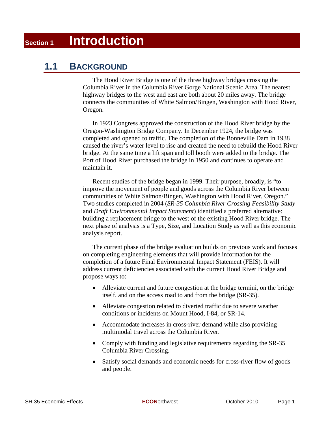## **Section 1 Introduction**

#### **1.1 BACKGROUND**

The Hood River Bridge is one of the three highway bridges crossing the Columbia River in the Columbia River Gorge National Scenic Area. The nearest highway bridges to the west and east are both about 20 miles away. The bridge connects the communities of White Salmon/Bingen, Washington with Hood River, Oregon.

In 1923 Congress approved the construction of the Hood River bridge by the Oregon-Washington Bridge Company. In December 1924, the bridge was completed and opened to traffic. The completion of the Bonneville Dam in 1938 caused the river's water level to rise and created the need to rebuild the Hood River bridge. At the same time a lift span and toll booth were added to the bridge. The Port of Hood River purchased the bridge in 1950 and continues to operate and maintain it.

Recent studies of the bridge began in 1999. Their purpose, broadly, is "to improve the movement of people and goods across the Columbia River between communities of White Salmon/Bingen, Washington with Hood River, Oregon." Two studies completed in 2004 (*SR-35 Columbia River Crossing Feasibility Study* and *Draft Environmental Impact Statement*) identified a preferred alternative: building a replacement bridge to the west of the existing Hood River bridge. The next phase of analysis is a Type, Size, and Location Study as well as this economic analysis report.

The current phase of the bridge evaluation builds on previous work and focuses on completing engineering elements that will provide information for the completion of a future Final Environmental Impact Statement (FEIS). It will address current deficiencies associated with the current Hood River Bridge and propose ways to:

- Alleviate current and future congestion at the bridge termini, on the bridge itself, and on the access road to and from the bridge (SR-35).
- Alleviate congestion related to diverted traffic due to severe weather conditions or incidents on Mount Hood, I-84, or SR-14.
- Accommodate increases in cross-river demand while also providing multimodal travel across the Columbia River.
- Comply with funding and legislative requirements regarding the SR-35 Columbia River Crossing.
- Satisfy social demands and economic needs for cross-river flow of goods and people.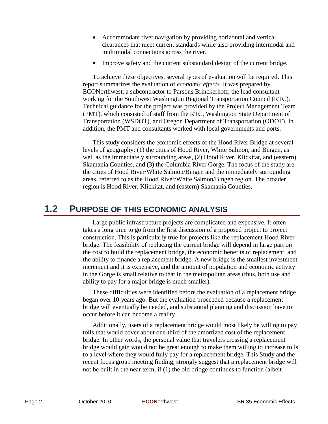- Accommodate river navigation by providing horizontal and vertical clearances that meet current standards while also providing intermodal and multimodal connections across the river.
- Improve safety and the current substandard design of the current bridge.

To achieve these objectives, several types of evaluation will be required. This report summarizes the evaluation of *economic effects.* It was prepared by ECONorthwest, a subcontractor to Parsons Brinckerhoff, the lead consultant working for the Southwest Washington Regional Transportation Council (RTC). Technical guidance for the project was provided by the Project Management Team (PMT), which consisted of staff from the RTC, Washington State Department of Transportation (WSDOT), and Oregon Department of Transportation (ODOT). In addition, the PMT and consultants worked with local governments and ports.

This study considers the economic effects of the Hood River Bridge at several levels of geography: (1) the cities of Hood River, White Salmon, and Bingen, as well as the immediately surrounding areas, (2) Hood River, Klickitat, and (eastern) Skamania Counties, and (3) the Columbia River Gorge. The focus of the study are the cities of Hood River/White Salmon/Bingen and the immediately surrounding areas, referred to as the Hood River/White Salmon/Bingen region. The broader region is Hood River, Klickitat, and (eastern) Skamania Counties.

#### **1.2 PURPOSE OF THIS ECONOMIC ANALYSIS**

Large public infrastructure projects are complicated and expensive. It often takes a long time to go from the first discussion of a proposed project to project construction. This is particularly true for projects like the replacement Hood River bridge. The feasibility of replacing the current bridge will depend in large part on the cost to build the replacement bridge, the economic benefits of replacement, and the ability to finance a replacement bridge. A new bridge is the smallest investment increment and it is expensive, and the amount of population and economic activity in the Gorge is small relative to that in the metropolitan areas (thus, both use and ability to pay for a major bridge is much smaller).

These difficulties were identified before the evaluation of a replacement bridge began over 10 years ago. But the evaluation proceeded because a replacement bridge will eventually be needed, and substantial planning and discussion have to occur before it can become a reality.

Additionally, users of a replacement bridge would most likely be willing to pay tolls that would cover about one-third of the amortized cost of the replacement bridge. In other words, the personal value that travelers crossing a replacement bridge would gain would not be great enough to make them willing to increase tolls to a level where they would fully pay for a replacement bridge. This Study and the recent focus group meeting finding, strongly suggest that a replacement bridge will not be built in the near term, if (1) the old bridge continues to function (albeit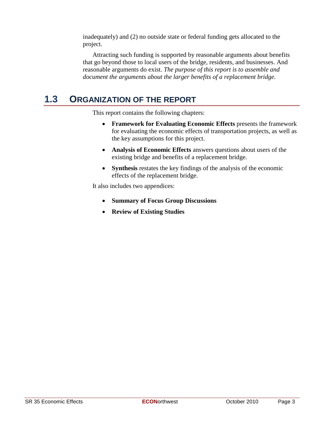inadequately) and (2) no outside state or federal funding gets allocated to the project.

Attracting such funding is supported by reasonable arguments about benefits that go beyond those to local users of the bridge, residents, and businesses. And reasonable arguments do exist. *The purpose of this report is to assemble and document the arguments about the larger benefits of a replacement bridge.*

### **1.3 ORGANIZATION OF THE REPORT**

This report contains the following chapters:

- **Framework for Evaluating Economic Effects** presents the framework for evaluating the economic effects of transportation projects, as well as the key assumptions for this project.
- **Analysis of Economic Effects** answers questions about users of the existing bridge and benefits of a replacement bridge.
- **Synthesis** restates the key findings of the analysis of the economic effects of the replacement bridge.

It also includes two appendices:

- **Summary of Focus Group Discussions**
- **Review of Existing Studies**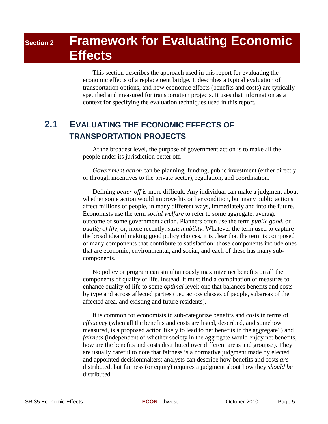## **Section 2 Framework for Evaluating Economic Effects**

This section describes the approach used in this report for evaluating the economic effects of a replacement bridge. It describes a typical evaluation of transportation options, and how economic effects (benefits and costs) are typically specified and measured for transportation projects. It uses that information as a context for specifying the evaluation techniques used in this report.

### **2.1 EVALUATING THE ECONOMIC EFFECTS OF TRANSPORTATION PROJECTS**

At the broadest level, the purpose of government action is to make all the people under its jurisdiction better off.

*Government action* can be planning, funding, public investment (either directly or through incentives to the private sector), regulation, and coordination.

Defining *better-off* is more difficult. Any individual can make a judgment about whether some action would improve his or her condition, but many public actions affect millions of people, in many different ways, immediately and into the future. Economists use the term *social welfare* to refer to some aggregate, average outcome of some government action. Planners often use the term *public good*, or *quality of life*, or, more recently, *sustainability*. Whatever the term used to capture the broad idea of making good policy choices, it is clear that the term is composed of many components that contribute to satisfaction: those components include ones that are economic, environmental, and social, and each of these has many subcomponents.

No policy or program can simultaneously maximize net benefits on all the components of quality of life. Instead, it must find a combination of measures to enhance quality of life to some *optimal* level: one that balances benefits and costs by type and across affected parties (i.e., across classes of people, subareas of the affected area, and existing and future residents).

It is common for economists to sub-categorize benefits and costs in terms of *efficiency* (when all the benefits and costs are listed, described, and somehow measured, is a proposed action likely to lead to net benefits in the aggregate?) and *fairness* (independent of whether society in the aggregate would enjoy net benefits, how are the benefits and costs distributed over different areas and groups?). They are usually careful to note that fairness is a normative judgment made by elected and appointed decisionmakers: analysts can describe how benefits and costs *are* distributed, but fairness (or equity) requires a judgment about how they *should be* distributed.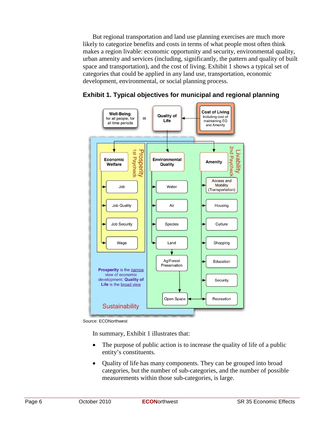But regional transportation and land use planning exercises are much more likely to categorize benefits and costs in terms of what people most often think makes a region livable: economic opportunity and security, environmental quality, urban amenity and services (including, significantly, the pattern and quality of built space and transportation), and the cost of living. Exhibit 1 shows a typical set of categories that could be applied in any land use, transportation, economic development, environmental, or social planning process.



**Exhibit 1. Typical objectives for municipal and regional planning**

Source: ECONorthwest

In summary, Exhibit 1 illustrates that:

- The purpose of public action is to increase the quality of life of a public entity's constituents.
- Quality of life has many components. They can be grouped into broad categories, but the number of sub-categories, and the number of possible measurements within those sub-categories, is large.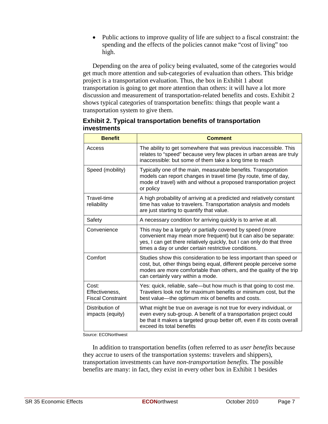• Public actions to improve quality of life are subject to a fiscal constraint: the spending and the effects of the policies cannot make "cost of living" too high.

Depending on the area of policy being evaluated, some of the categories would get much more attention and sub-categories of evaluation than others. This bridge project is a transportation evaluation. Thus, the box in Exhibit 1 about transportation is going to get more attention than others: it will have a lot more discussion and measurement of transportation-related benefits and costs. Exhibit 2 shows typical categories of transportation benefits: things that people want a transportation system to give them.

| <b>Benefit</b>                                      | <b>Comment</b>                                                                                                                                                                                                                                                |
|-----------------------------------------------------|---------------------------------------------------------------------------------------------------------------------------------------------------------------------------------------------------------------------------------------------------------------|
| Access                                              | The ability to get somewhere that was previous inaccessible. This<br>relates to "speed" because very few places in urban areas are truly<br>inaccessible: but some of them take a long time to reach                                                          |
| Speed (mobility)                                    | Typically one of the main, measurable benefits. Transportation<br>models can report changes in travel time (by route, time of day,<br>mode of travel) with and without a proposed transportation project<br>or policy                                         |
| Travel-time<br>reliability                          | A high probability of arriving at a predicted and relatively constant<br>time has value to travelers. Transportation analysis and models<br>are just starting to quantify that value.                                                                         |
| Safety                                              | A necessary condition for arriving quickly is to arrive at all.                                                                                                                                                                                               |
| Convenience                                         | This may be a largely or partially covered by speed (more<br>convenient may mean more frequent) but it can also be separate:<br>yes, I can get there relatively quickly, but I can only do that three<br>times a day or under certain restrictive conditions. |
| Comfort                                             | Studies show this consideration to be less important than speed or<br>cost, but, other things being equal, different people perceive some<br>modes are more comfortable than others, and the quality of the trip<br>can certainly vary within a mode.         |
| Cost:<br>Effectiveness,<br><b>Fiscal Constraint</b> | Yes: quick, reliable, safe-but how much is that going to cost me.<br>Travelers look not for maximum benefits or minimum cost, but the<br>best value-the optimum mix of benefits and costs.                                                                    |
| Distribution of<br>impacts (equity)                 | What might be true on average is not true for every individual, or<br>even every sub-group. A benefit of a transportation project could<br>be that it makes a targeted group better off, even if its costs overall<br>exceed its total benefits               |

**Exhibit 2. Typical transportation benefits of transportation investments**

Source: ECONorthwest

In addition to transportation benefits (often referred to as *user benefits* because they accrue to users of the transportation systems: travelers and shippers), transportation investments can have *non-transportation benefits.* The possible benefits are many: in fact, they exist in every other box in Exhibit 1 besides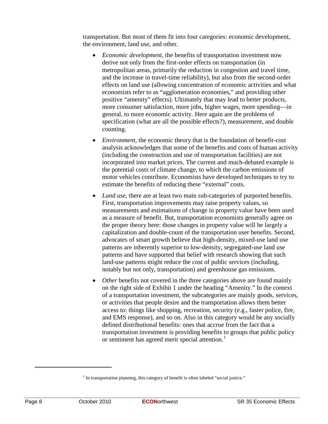transportation. But most of them fit into four categories: economic development, the environment, land use, and other.

- *Economic development*, the benefits of transportation investment now derive not only from the first-order effects on transportation (in metropolitan areas, primarily the reduction in congestion and travel time, and the increase in travel-time reliability), but also from the second-order effects on land use (allowing concentration of economic activities and what economists refer to as "agglomeration economies," and providing other positive "amenity" effects). Ultimately that may lead to better products, more consumer satisfaction, more jobs, higher wages, more spending—in general, to more economic activity. Here again are the problems of specification (what are all the possible effects?), measurement, and double counting.
- *Environment*, the economic theory that is the foundation of benefit-cost analysis acknowledges that some of the benefits and costs of human activity (including the construction and use of transportation facilities) are not incorporated into market prices. The current and much-debated example is the potential costs of climate change, to which the carbon emissions of motor vehicles contribute. Economists have developed techniques to try to estimate the benefits of reducing these "external" costs.
- *Land use*, there are at least two main sub-categories of purported benefits. First, transportation improvements may raise property values, so measurements and estimations of change in property value have been used as a measure of benefit. But, transportation economists generally agree on the proper theory here: those changes in property value will be largely a capitalization and double-count of the transportation user benefits. Second, advocates of smart growth believe that high-density, mixed-use land use patterns are inherently superior to low-density, segregated-use land use patterns and have supported that belief with research showing that such land-use patterns might reduce the cost of public services (including, notably but not only, transportation) and greenhouse gas emissions.
- *Other* benefits not covered in the three categories above are found mainly on the right side of Exhibit 1 under the heading "Amenity." In the context of a transportation investment, the subcategories are mainly goods, services, or activities that people desire and the transportation allows them better access to: things like shopping, recreation, security (e.g., faster police, fire, and EMS response), and so on. Also in this category would be any socially defined distributional benefits: ones that accrue from the fact that a transportation investment is providing benefits to groups that public policy or sentiment has agreed merit special attention.<sup>[1](#page-17-0)</sup>

<span id="page-17-0"></span> $1$  In transportation planning, this category of benefit is often labeled "social justice."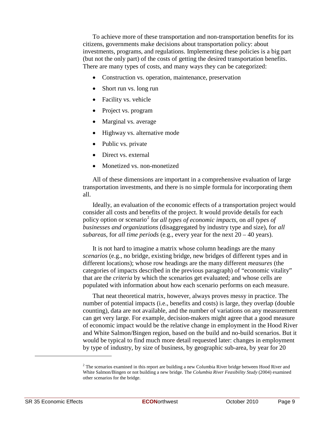To achieve more of these transportation and non-transportation benefits for its citizens, governments make decisions about transportation policy: about investments, programs, and regulations. Implementing these policies is a big part (but not the only part) of the costs of getting the desired transportation benefits. There are many types of costs, and many ways they can be categorized:

- Construction vs. operation, maintenance, preservation
- Short run vs. long run
- Facility vs. vehicle
- Project vs. program
- Marginal vs. average
- Highway vs. alternative mode
- Public vs. private
- Direct vs. external
- Monetized vs. non-monetized

All of these dimensions are important in a comprehensive evaluation of large transportation investments, and there is no simple formula for incorporating them all.

Ideally, an evaluation of the economic effects of a transportation project would consider all costs and benefits of the project. It would provide details for each policy option or scenario<sup>[2](#page-18-0)</sup> for *all types of economic impacts*, on *all types of businesses and organizations* (disaggregated by industry type and size), for *all subareas*, for *all time periods* (e.g., every year for the next 20 – 40 years).

It is not hard to imagine a matrix whose column headings are the many *scenarios* (e.g., no bridge, existing bridge, new bridges of different types and in different locations); whose row headings are the many different *measures* (the categories of impacts described in the previous paragraph) of "economic vitality" that are the *criteria* by which the scenarios get evaluated; and whose cells are populated with information about how each scenario performs on each measure.

That neat theoretical matrix, however, always proves messy in practice. The number of potential impacts (i.e., benefits and costs) is large, they overlap (double counting), data are not available, and the number of variations on any measurement can get very large. For example, decision-makers might agree that a good measure of economic impact would be the relative change in employment in the Hood River and White Salmon/Bingen region, based on the build and no-build scenarios. But it would be typical to find much more detail requested later: changes in employment by type of industry, by size of business, by geographic sub-area, by year for 20

<span id="page-18-0"></span> $2<sup>2</sup>$  The scenarios examined in this report are building a new Columbia River bridge between Hood River and White Salmon/Bingen or not building a new bridge. The *Columbia River Feasibility Study* (2004) examined other scenarios for the bridge.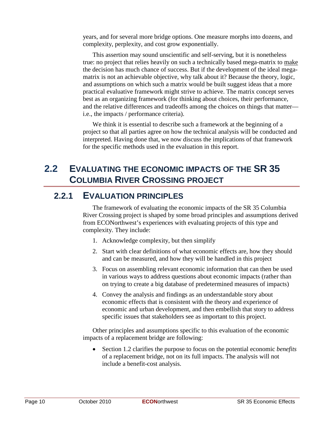years, and for several more bridge options. One measure morphs into dozens, and complexity, perplexity, and cost grow exponentially.

This assertion may sound unscientific and self-serving, but it is nonetheless true: no project that relies heavily on such a technically based mega-matrix to make the decision has much chance of success. But if the development of the ideal megamatrix is not an achievable objective, why talk about it? Because the theory, logic, and assumptions on which such a matrix would be built suggest ideas that a more practical evaluative framework might strive to achieve. The matrix concept serves best as an organizing framework (for thinking about choices, their performance, and the relative differences and tradeoffs among the choices on things that matter i.e., the impacts / performance criteria).

We think it is essential to describe such a framework at the beginning of a project so that all parties agree on how the technical analysis will be conducted and interpreted. Having done that, we now discuss the implications of that framework for the specific methods used in the evaluation in this report.

### **2.2 EVALUATING THE ECONOMIC IMPACTS OF THE SR 35 COLUMBIA RIVER CROSSING PROJECT**

#### **2.2.1 EVALUATION PRINCIPLES**

The framework of evaluating the economic impacts of the SR 35 Columbia River Crossing project is shaped by some broad principles and assumptions derived from ECONorthwest's experiences with evaluating projects of this type and complexity. They include:

- 1. Acknowledge complexity, but then simplify
- 2. Start with clear definitions of what economic effects are, how they should and can be measured, and how they will be handled in this project
- 3. Focus on assembling relevant economic information that can then be used in various ways to address questions about economic impacts (rather than on trying to create a big database of predetermined measures of impacts)
- 4. Convey the analysis and findings as an understandable story about economic effects that is consistent with the theory and experience of economic and urban development, and then embellish that story to address specific issues that stakeholders see as important to this project.

Other principles and assumptions specific to this evaluation of the economic impacts of a replacement bridge are following:

• Section 1.2 clarifies the purpose to focus on the potential economic *benefits* of a replacement bridge, not on its full impacts. The analysis will not include a benefit-cost analysis.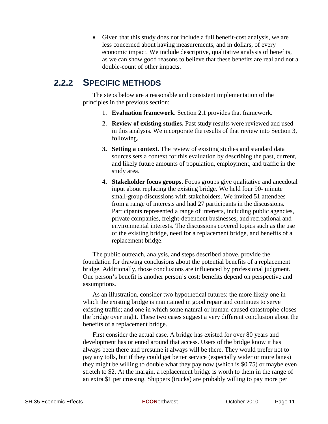• Given that this study does not include a full benefit-cost analysis, we are less concerned about having measurements, and in dollars, of every economic impact. We include descriptive, qualitative analysis of benefits, as we can show good reasons to believe that these benefits are real and not a double-count of other impacts.

### **2.2.2 SPECIFIC METHODS**

The steps below are a reasonable and consistent implementation of the principles in the previous section:

- 1. **Evaluation framework**. Section 2.1 provides that framework.
- **2. Review of existing studies.** Past study results were reviewed and used in this analysis. We incorporate the results of that review into Section 3, following.
- **3. Setting a context.** The review of existing studies and standard data sources sets a context for this evaluation by describing the past, current, and likely future amounts of population, employment, and traffic in the study area.
- **4. Stakeholder focus groups.** Focus groups give qualitative and anecdotal input about replacing the existing bridge. We held four 90- minute small-group discussions with stakeholders. We invited 51 attendees from a range of interests and had 27 participants in the discussions. Participants represented a range of interests, including public agencies, private companies, freight-dependent businesses, and recreational and environmental interests. The discussions covered topics such as the use of the existing bridge, need for a replacement bridge, and benefits of a replacement bridge.

The public outreach, analysis, and steps described above, provide the foundation for drawing conclusions about the potential benefits of a replacement bridge. Additionally, those conclusions are influenced by professional judgment. One person's benefit is another person's cost: benefits depend on perspective and assumptions.

As an illustration, consider two hypothetical futures: the more likely one in which the existing bridge is maintained in good repair and continues to serve existing traffic; and one in which some natural or human-caused catastrophe closes the bridge over night. These two cases suggest a very different conclusion about the benefits of a replacement bridge.

First consider the actual case. A bridge has existed for over 80 years and development has oriented around that access. Users of the bridge know it has always been there and presume it always will be there. They would prefer not to pay any tolls, but if they could get better service (especially wider or more lanes) they might be willing to double what they pay now (which is \$0.75) or maybe even stretch to \$2. At the margin, a replacement bridge is worth to them in the range of an extra \$1 per crossing. Shippers (trucks) are probably willing to pay more per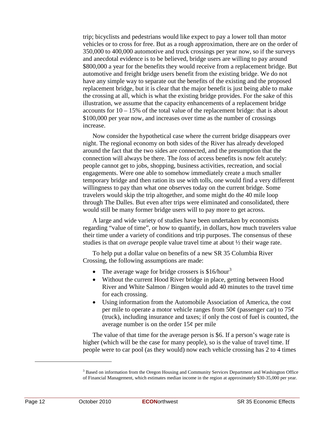trip; bicyclists and pedestrians would like expect to pay a lower toll than motor vehicles or to cross for free. But as a rough approximation, there are on the order of 350,000 to 400,000 automotive and truck crossings per year now, so if the surveys and anecdotal evidence is to be believed, bridge users are willing to pay around \$800,000 a year for the benefits they would receive from a replacement bridge. But automotive and freight bridge users benefit from the existing bridge. We do not have any simple way to separate out the benefits of the existing and the proposed replacement bridge, but it is clear that the major benefit is just being able to make the crossing at all, which is what the existing bridge provides. For the sake of this illustration, we assume that the capacity enhancements of a replacement bridge accounts for  $10 - 15\%$  of the total value of the replacement bridge: that is about \$100,000 per year now, and increases over time as the number of crossings increase.

Now consider the hypothetical case where the current bridge disappears over night. The regional economy on both sides of the River has already developed around the fact that the two sides are connected, and the presumption that the connection will always be there. The *loss* of access benefits is now felt acutely: people cannot get to jobs, shopping, business activities, recreation, and social engagements. Were one able to somehow immediately create a much smaller temporary bridge and then ration its use with tolls, one would find a very different willingness to pay than what one observes today on the current bridge. Some travelers would skip the trip altogether, and some might do the 40 mile loop through The Dalles. But even after trips were eliminated and consolidated, there would still be many former bridge users will to pay more to get across.

A large and wide variety of studies have been undertaken by economists regarding "value of time", or how to quantify, in dollars, how much travelers value their time under a variety of conditions and trip purposes. The consensus of these studies is that *on average* people value travel time at about ½ their wage rate.

To help put a dollar value on benefits of a new SR 35 Columbia River Crossing, the following assumptions are made:

- The average wage for bridge crossers is  $$16/hour<sup>3</sup>$  $$16/hour<sup>3</sup>$  $$16/hour<sup>3</sup>$
- Without the current Hood River bridge in place, getting between Hood River and White Salmon / Bingen would add 40 minutes to the travel time for each crossing.
- Using information from the Automobile Association of America, the cost per mile to operate a motor vehicle ranges from  $50¢$  (passenger car) to  $75¢$ (truck), including insurance and taxes; if only the cost of fuel is counted, the average number is on the order  $15¢$  per mile

The value of that time for the average person is \$6. If a person's wage rate is higher (which will be the case for many people), so is the value of travel time. If people were to car pool (as they would) now each vehicle crossing has 2 to 4 times

<span id="page-21-0"></span><sup>&</sup>lt;sup>3</sup> Based on information from the Oregon Housing and Community Services Department and Washington Office of Financial Management, which estimates median income in the region at approximately \$30-35,000 per year.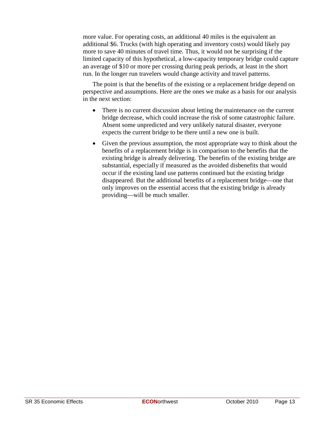more value. For operating costs, an additional 40 miles is the equivalent an additional \$6. Trucks (with high operating and inventory costs) would likely pay more to save 40 minutes of travel time. Thus, it would not be surprising if the limited capacity of this hypothetical, a low-capacity temporary bridge could capture an average of \$10 or more per crossing during peak periods, at least in the short run. In the longer run travelers would change activity and travel patterns.

The point is that the benefits of the existing or a replacement bridge depend on perspective and assumptions. Here are the ones we make as a basis for our analysis in the next section:

- There is no current discussion about letting the maintenance on the current bridge decrease, which could increase the risk of some catastrophic failure. Absent some unpredicted and very unlikely natural disaster, everyone expects the current bridge to be there until a new one is built.
- Given the previous assumption, the most appropriate way to think about the benefits of a replacement bridge is in comparison to the benefits that the existing bridge is already delivering. The benefits of the existing bridge are substantial, especially if measured as the avoided disbenefits that would occur if the existing land use patterns continued but the existing bridge disappeared. But the additional benefits of a replacement bridge—one that only improves on the essential access that the existing bridge is already providing—will be much smaller.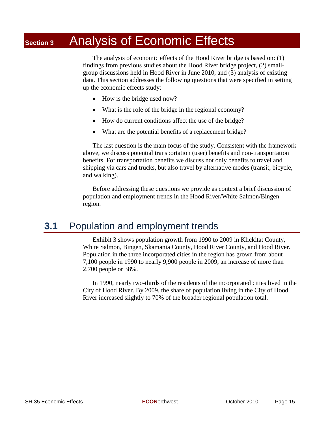## **Section 3** Analysis of Economic Effects

The analysis of economic effects of the Hood River bridge is based on: (1) findings from previous studies about the Hood River bridge project, (2) smallgroup discussions held in Hood River in June 2010, and (3) analysis of existing data. This section addresses the following questions that were specified in setting up the economic effects study:

- How is the bridge used now?
- What is the role of the bridge in the regional economy?
- How do current conditions affect the use of the bridge?
- What are the potential benefits of a replacement bridge?

The last question is the main focus of the study. Consistent with the framework above, we discuss potential transportation (user) benefits and non-transportation benefits. For transportation benefits we discuss not only benefits to travel and shipping via cars and trucks, but also travel by alternative modes (transit, bicycle, and walking).

Before addressing these questions we provide as context a brief discussion of population and employment trends in the Hood River/White Salmon/Bingen region.

#### **3.1** Population and employment trends

Exhibit 3 shows population growth from 1990 to 2009 in Klickitat County, White Salmon, Bingen, Skamania County, Hood River County, and Hood River. Population in the three incorporated cities in the region has grown from about 7,100 people in 1990 to nearly 9,900 people in 2009, an increase of more than 2,700 people or 38%.

In 1990, nearly two-thirds of the residents of the incorporated cities lived in the City of Hood River. By 2009, the share of population living in the City of Hood River increased slightly to 70% of the broader regional population total.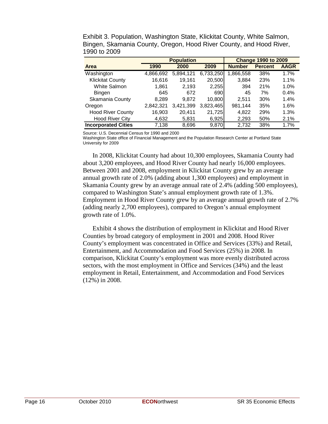|                            |           | <b>Population</b> |           |               | <b>Change 1990 to 2009</b> |             |
|----------------------------|-----------|-------------------|-----------|---------------|----------------------------|-------------|
| <b>Area</b>                | 1990      | 2000              | 2009      | <b>Number</b> | <b>Percent</b>             | <b>AAGR</b> |
| Washington                 | 4,866,692 | 5,894,121         | 6,733,250 | 1,866,558     | 38%                        | 1.7%        |
| <b>Klickitat County</b>    | 16,616    | 19.161            | 20,500    | 3,884         | 23%                        | 1.1%        |
| White Salmon               | 1,861     | 2.193             | 2,255     | 394           | 21%                        | 1.0%        |
| Bingen                     | 645       | 672               | 690       | 45            | 7%                         | 0.4%        |
| Skamania County            | 8,289     | 9.872             | 10,800    | 2.511         | 30%                        | 1.4%        |
| Oregon                     | 2,842,321 | 3,421,399         | 3,823,465 | 981,144       | 35%                        | 1.6%        |
| <b>Hood River County</b>   | 16,903    | 20.411            | 21,725    | 4,822         | 29%                        | 1.3%        |
| <b>Hood River City</b>     | 4,632     | 5,831             | 6,925     | 2,293         | 50%                        | 2.1%        |
| <b>Incorporated Cities</b> | 7,138     | 8,696             | 9,870     | 2,732         | 38%                        | 1.7%        |

Exhibit 3. Population, Washington State, Klickitat County, White Salmon, Bingen, Skamania County, Oregon, Hood River County, and Hood River, 1990 to 2009

Source: U.S. Decennial Census for 1990 and 2000

Washington State office of Financial Management and the Population Research Center at Portland State University for 2009

In 2008, Klickitat County had about 10,300 employees, Skamania County had about 3,200 employees, and Hood River County had nearly 16,000 employees. Between 2001 and 2008, employment in Klickitat County grew by an average annual growth rate of 2.0% (adding about 1,300 employees) and employment in Skamania County grew by an average annual rate of 2.4% (adding 500 employees), compared to Washington State's annual employment growth rate of 1.3%. Employment in Hood River County grew by an average annual growth rate of 2.7% (adding nearly 2,700 employees), compared to Oregon's annual employment growth rate of 1.0%.

Exhibit 4 shows the distribution of employment in Klickitat and Hood River Counties by broad category of employment in 2001 and 2008. Hood River County's employment was concentrated in Office and Services (33%) and Retail, Entertainment, and Accommodation and Food Services (25%) in 2008. In comparison, Klickitat County's employment was more evenly distributed across sectors, with the most employment in Office and Services (34%) and the least employment in Retail, Entertainment, and Accommodation and Food Services (12%) in 2008.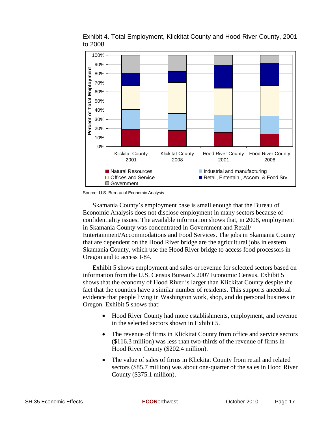

Exhibit 4. Total Employment, Klickitat County and Hood River County, 2001 to 2008

Source: U.S. Bureau of Economic Analysis

Skamania County's employment base is small enough that the Bureau of Economic Analysis does not disclose employment in many sectors because of confidentiality issues. The available information shows that, in 2008, employment in Skamania County was concentrated in Government and Retail/ Entertainment/Accommodations and Food Services. The jobs in Skamania County that are dependent on the Hood River bridge are the agricultural jobs in eastern Skamania County, which use the Hood River bridge to access food processors in Oregon and to access I-84.

Exhibit 5 shows employment and sales or revenue for selected sectors based on information from the U.S. Census Bureau's 2007 Economic Census. Exhibit 5 shows that the economy of Hood River is larger than Klickitat County despite the fact that the counties have a similar number of residents. This supports anecdotal evidence that people living in Washington work, shop, and do personal business in Oregon. Exhibit 5 shows that:

- Hood River County had more establishments, employment, and revenue in the selected sectors shown in Exhibit 5.
- The revenue of firms in Klickitat County from office and service sectors (\$116.3 million) was less than two-thirds of the revenue of firms in Hood River County (\$202.4 million).
- The value of sales of firms in Klickitat County from retail and related sectors (\$85.7 million) was about one-quarter of the sales in Hood River County (\$375.1 million).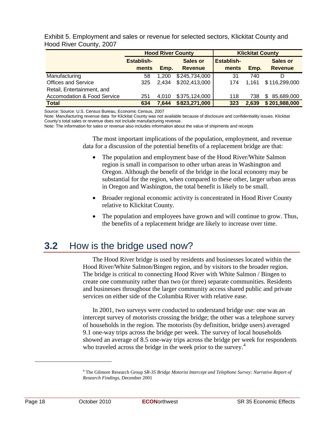|                                        |                     | <b>Hood River County</b> | <b>Klickitat County</b>           |                            |       |                                   |
|----------------------------------------|---------------------|--------------------------|-----------------------------------|----------------------------|-------|-----------------------------------|
|                                        | Establish-<br>ments | Emp.                     | <b>Sales or</b><br><b>Revenue</b> | <b>Establish-</b><br>ments | Emp.  | <b>Sales or</b><br><b>Revenue</b> |
| Manufacturing                          | 58                  | 1.200                    | \$245,734,000                     | 31                         | 740   |                                   |
| <b>Offices and Service</b>             | 325                 | 2,434                    | \$202,413,000                     | 174                        | 1.161 | \$116,299,000                     |
| Retail, Entertainment, and             |                     |                          |                                   |                            |       |                                   |
| <b>Accomodation &amp; Food Service</b> | 251                 | 4.010                    | \$375,124,000                     | 118                        | 738   | 85,689,000<br>\$.                 |
| <b>Total</b>                           | 634                 | 7.644                    | \$823,271,000                     | 323                        | 2,639 | \$201,988,000                     |

Exhibit 5. Employment and sales or revenue for selected sectors, Klickitat County and Hood River County, 2007

Source: Source: U.S. Census Bureau, Economic Census, 2007

Note: Manufacturing revenue data for Klickitat County was not available because of disclosure and confidentiality issues. Klickitat County's total sales or revenue does not include manufacturing revenue.

Note: The information for sales or revenue also includes information about the value of shipments and receipts

The most important implications of the population, employment, and revenue data for a discussion of the potential benefits of a replacement bridge are that:

- The population and employment base of the Hood River/White Salmon region is small in comparison to other urban areas in Washington and Oregon. Although the benefit of the bridge in the local economy may be substantial for the region, when compared to these other, larger urban areas in Oregon and Washington, the total benefit is likely to be small.
- Broader regional economic activity is concentrated in Hood River County relative to Klickitat County.
- The population and employees have grown and will continue to grow. Thus, the benefits of a replacement bridge are likely to increase over time.

### **3.2** How is the bridge used now?

The Hood River bridge is used by residents and businesses located within the Hood River/White Salmon/Bingen region, and by visitors to the broader region. The bridge is critical to connecting Hood River with White Salmon / Bingen to create one community rather than two (or three) separate communities. Residents and businesses throughout the larger community access shared public and private services on either side of the Columbia River with relative ease.

In 2001, two surveys were conducted to understand bridge use: one was an intercept survey of motorists crossing the bridge; the other was a telephone survey of households in the region. The motorists (by definition, bridge users) averaged 9.1 one-way trips across the bridge per week. The survey of local households showed an average of 8.5 one-way trips across the bridge per week for respondents who traveled across the bridge in the week prior to the survey.<sup>[4](#page-27-0)</sup>

<span id="page-27-0"></span><sup>4</sup> The Gilmore Research Group *SR-35 Bridge Motorist Intercept and Telephone Survey: Narrative Report of Research Findings*, December 2001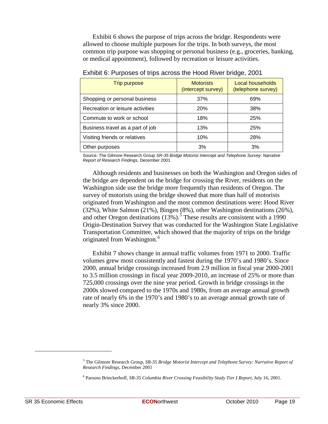Exhibit 6 shows the purpose of trips across the bridge. Respondents were allowed to choose multiple purposes for the trips. In both surveys, the most common trip purpose was shopping or personal business (e.g., groceries, banking, or medical appointment), followed by recreation or leisure activities.

| <b>Trip purpose</b>              | <b>Motorists</b><br>(intercept survey) | Local households<br>(telephone survey) |
|----------------------------------|----------------------------------------|----------------------------------------|
| Shopping or personal business    | 37%                                    | 69%                                    |
| Recreation or leisure activities | <b>20%</b>                             | 38%                                    |
| Commute to work or school        | 18%                                    | 25%                                    |
| Business travel as a part of job | 13%                                    | 25%                                    |
| Visiting friends or relatives    | 10%                                    | 28%                                    |
| Other purposes                   | 3%                                     | 3%                                     |

Exhibit 6: Purposes of trips across the Hood River bridge, 2001

Source: The Gilmore Research Group *SR-35 Bridge Motorist Intercept and Telephone Survey: Narrative Report of Research Findings*, December 2001

Although residents and businesses on both the Washington and Oregon sides of the bridge are dependent on the bridge for crossing the River, residents on the Washington side use the bridge more frequently than residents of Oregon. The survey of motorists using the bridge showed that more than half of motorists originated from Washington and the most common destinations were: Hood River (32%), White Salmon (21%), Bingen (8%), other Washington destinations (26%), and other Oregon destinations  $(13%)$ .<sup>[5](#page-28-0)</sup> These results are consistent with a 1990 Origin-Destination Survey that was conducted for the Washington State Legislative Transportation Committee, which showed that the majority of trips on the bridge originated from Washington.<sup>[6](#page-28-1)</sup>

Exhibit 7 shows change in annual traffic volumes from 1971 to 2000. Traffic volumes grew most consistently and fastest during the 1970's and 1980's. Since 2000, annual bridge crossings increased from 2.9 million in fiscal year 2000-2001 to 3.5 million crossings in fiscal year 2009-2010, an increase of 25% or more than 725,000 crossings over the nine year period. Growth in bridge crossings in the 2000s slowed compared to the 1970s and 1980s, from an average annual growth rate of nearly 6% in the 1970's and 1980's to an average annual growth rate of nearly 3% since 2000.

<span id="page-28-0"></span><sup>5</sup> The Gilmore Research Group, *SR-35 Bridge Motorist Intercept and Telephone Survey: Narrative Report of Research Findings*, December 2001

<span id="page-28-1"></span><sup>6</sup> Parsons Brinckerhoff, *SR-35 Columbia River Crossing Feasibility Study Tier I Report*, July 16, 2001.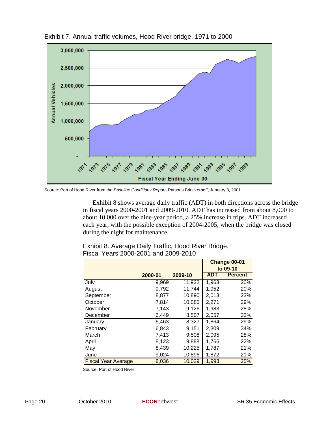

Exhibit 7. Annual traffic volumes, Hood River bridge, 1971 to 2000

Source: Port of Hood River from the *Baseline Conditions Report*, Parsons Brinckerhoff, January 8, 2001

Exhibit 8 shows average daily traffic (ADT) in both directions across the bridge in fiscal years 2000-2001 and 2009-2010. ADT has increased from about 8,000 to about 10,000 over the nine-year period, a 25% increase in trips. ADT increased each year, with the possible exception of 2004-2005, when the bridge was closed during the night for maintenance.

|                            |         |         |            | Change 00-01   |
|----------------------------|---------|---------|------------|----------------|
|                            |         |         |            | to 09-10       |
|                            | 2000-01 | 2009-10 | <b>ADT</b> | <b>Percent</b> |
| July                       | 9,969   | 11,932  | 1,963      | 20%            |
| August                     | 9,792   | 11,744  | 1,952      | 20%            |
| September                  | 8,877   | 10,890  | 2,013      | 23%            |
| October                    | 7,814   | 10,085  | 2,271      | 29%            |
| November                   | 7,143   | 9,126   | 1,983      | 28%            |
| December                   | 6,449   | 8,507   | 2,057      | 32%            |
| January                    | 6,463   | 8,327   | 1,864      | 29%            |
| February                   | 6,843   | 9,151   | 2,309      | 34%            |
| March                      | 7,413   | 9,508   | 2,095      | 28%            |
| April                      | 8,123   | 9,888   | 1,766      | 22%            |
| May                        | 8,439   | 10,225  | 1,787      | 21%            |
| June                       | 9,024   | 10,896  | 1,872      | 21%            |
| <b>Fiscal Year Average</b> | 8,036   | 10,029  | 1,993      | 25%            |

| Exhibit 8. Average Daily Traffic, Hood River Bridge, |
|------------------------------------------------------|
| Fiscal Years 2000-2001 and 2009-2010                 |

Source: Port of Hood River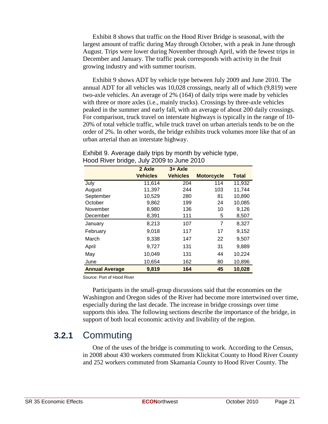Exhibit 8 shows that traffic on the Hood River Bridge is seasonal, with the largest amount of traffic during May through October, with a peak in June through August. Trips were lower during November through April, with the fewest trips in December and January. The traffic peak corresponds with activity in the fruit growing industry and with summer tourism.

Exhibit 9 shows ADT by vehicle type between July 2009 and June 2010. The annual ADT for all vehicles was 10,028 crossings, nearly all of which (9,819) were two-axle vehicles. An average of 2% (164) of daily trips were made by vehicles with three or more axles (i.e., mainly trucks). Crossings by three-axle vehicles peaked in the summer and early fall, with an average of about 200 daily crossings. For comparison, truck travel on interstate highways is typically in the range of 10- 20% of total vehicle traffic, while truck travel on urban arterials tends to be on the order of 2%. In other words, the bridge exhibits truck volumes more like that of an urban arterial than an interstate highway.

|                       | 2 Axle          | $3 + Ax$ le     |                   |              |
|-----------------------|-----------------|-----------------|-------------------|--------------|
|                       | <b>Vehicles</b> | <b>Vehicles</b> | <b>Motorcycle</b> | <b>Total</b> |
| July                  | 11,614          | 204             | 114               | 11,932       |
| August                | 11,397          | 244             | 103               | 11,744       |
| September             | 10,529          | 280             | 81                | 10,890       |
| October               | 9,862           | 199             | 24                | 10,085       |
| November              | 8,980           | 136             | 10                | 9,126        |
| December              | 8,391           | 111             | 5                 | 8,507        |
| January               | 8,213           | 107             | 7                 | 8,327        |
| February              | 9,018           | 117             | 17                | 9,152        |
| March                 | 9,338           | 147             | 22                | 9,507        |
| April                 | 9,727           | 131             | 31                | 9,889        |
| May                   | 10,049          | 131             | 44                | 10,224       |
| June                  | 10,654          | 162             | 80                | 10,896       |
| <b>Annual Average</b> | 9,819           | 164             | 45                | 10,028       |

#### Exhibit 9. Average daily trips by month by vehicle type, Hood River bridge, July 2009 to June 2010

Source: Port of Hood River

Participants in the small-group discussions said that the economies on the Washington and Oregon sides of the River had become more intertwined over time, especially during the last decade. The increase in bridge crossings over time supports this idea. The following sections describe the importance of the bridge, in support of both local economic activity and livability of the region.

### **3.2.1** Commuting

One of the uses of the bridge is commuting to work. According to the Census, in 2008 about 430 workers commuted from Klickitat County to Hood River County and 252 workers commuted from Skamania County to Hood River County. The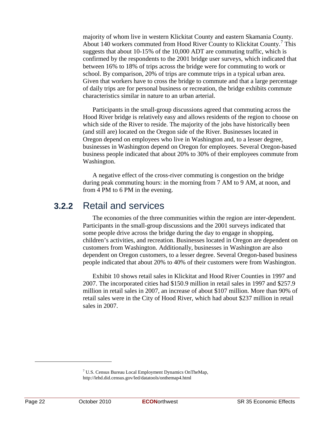majority of whom live in western Klickitat County and eastern Skamania County. About 140 workers commuted from Hood River County to Klickitat County.<sup>[7](#page-31-0)</sup> This suggests that about 10-15% of the 10,000 ADT are commuting traffic, which is confirmed by the respondents to the 2001 bridge user surveys, which indicated that between 16% to 18% of trips across the bridge were for commuting to work or school. By comparison, 20% of trips are commute trips in a typical urban area. Given that workers have to cross the bridge to commute and that a large percentage of daily trips are for personal business or recreation, the bridge exhibits commute characteristics similar in nature to an urban arterial.

Participants in the small-group discussions agreed that commuting across the Hood River bridge is relatively easy and allows residents of the region to choose on which side of the River to reside. The majority of the jobs have historically been (and still are) located on the Oregon side of the River. Businesses located in Oregon depend on employees who live in Washington and, to a lesser degree, businesses in Washington depend on Oregon for employees. Several Oregon-based business people indicated that about 20% to 30% of their employees commute from Washington.

A negative effect of the cross-river commuting is congestion on the bridge during peak commuting hours: in the morning from 7 AM to 9 AM, at noon, and from 4 PM to 6 PM in the evening.

### **3.2.2** Retail and services

The economies of the three communities within the region are inter-dependent. Participants in the small-group discussions and the 2001 surveys indicated that some people drive across the bridge during the day to engage in shopping, children's activities, and recreation. Businesses located in Oregon are dependent on customers from Washington. Additionally, businesses in Washington are also dependent on Oregon customers, to a lesser degree. Several Oregon-based business people indicated that about 20% to 40% of their customers were from Washington.

Exhibit 10 shows retail sales in Klickitat and Hood River Counties in 1997 and 2007. The incorporated cities had \$150.9 million in retail sales in 1997 and \$257.9 million in retail sales in 2007, an increase of about \$107 million. More than 90% of retail sales were in the City of Hood River, which had about \$237 million in retail sales in 2007.

<span id="page-31-0"></span> $7 \text{ U.S.}$  Census Bureau Local Employment Dynamics OnTheMap,

http://lehd.did.census.gov/led/datatools/onthemap4.html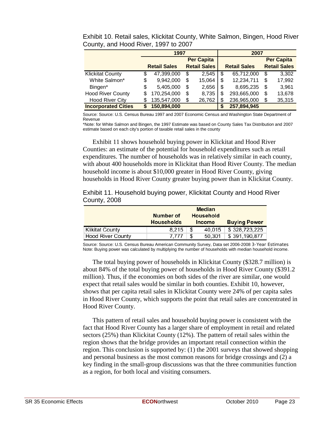|                            | 1997              |                     |    | 2007                |                     |                     |
|----------------------------|-------------------|---------------------|----|---------------------|---------------------|---------------------|
|                            | <b>Per Capita</b> |                     |    |                     | <b>Per Capita</b>   |                     |
|                            |                   | <b>Retail Sales</b> |    | <b>Retail Sales</b> | <b>Retail Sales</b> | <b>Retail Sales</b> |
| <b>Klickitat County</b>    | \$                | 47,399,000          | \$ | 2.545               | \$<br>65,712,000    | \$<br>3,302         |
| White Salmon*              | \$                | 9,942,000           | \$ | 15,064              | \$<br>12,234,711    | \$<br>17,992        |
| Bingen*                    | \$                | 5,405,000           | \$ | 2,656               | \$<br>8,695,235     | \$<br>3,961         |
| <b>Hood River County</b>   | S                 | 170,254,000         | \$ | 8,735               | \$<br>293,665,000   | \$<br>13,678        |
| <b>Hood River City</b>     | \$                | 135,547,000         | \$ | 26,762              | \$<br>236,965,000   | \$<br>35,315        |
| <b>Incorporated Cities</b> | S                 | 150,894,000         |    |                     | \$<br>257,894,945   |                     |

Exhibit 10. Retail sales, Klickitat County, White Salmon, Bingen, Hood River County, and Hood River, 1997 to 2007

Source: Source: U.S. Census Bureau 1997 and 2007 Economic Census and Washington State Department of Revenue

\*Note: for White Salmon and Bingen, the 1997 Estimate was based on County Sales Tax Distribution and 2007 estimate based on each city's portion of taxable retail sales in the county

Exhibit 11 shows household buying power in Klickitat and Hood River Counties: an estimate of the potential for household expenditures such as retail expenditures. The number of households was in relatively similar in each county, with about 400 households more in Klickitat than Hood River County. The median household income is about \$10,000 greater in Hood River County, giving households in Hood River County greater buying power than in Klickitat County.

Exhibit 11. Household buying power, Klickitat County and Hood River County, 2008

|                          | <b>Median</b>     |                  |                     |  |  |  |  |  |
|--------------------------|-------------------|------------------|---------------------|--|--|--|--|--|
|                          | Number of         | <b>Household</b> |                     |  |  |  |  |  |
|                          | <b>Households</b> | <b>Income</b>    | <b>Buying Power</b> |  |  |  |  |  |
| <b>Klikitat County</b>   | 8,215             | \$<br>40,015     | \$328,723,225       |  |  |  |  |  |
| <b>Hood River County</b> | 7.777             | \$<br>50,301     | \$391,190,877       |  |  |  |  |  |

Source: Source: U.S. Census Bureau American Community Survey, Data set 2006-2008 3-Year Estimates Note: Buying power was calculated by multiplying the number of households with median household income.

The total buying power of households in Klickitat County (\$328.7 million) is about 84% of the total buying power of households in Hood River County (\$391.2 million). Thus, if the economies on both sides of the river are similar, one would expect that retail sales would be similar in both counties. Exhibit 10, however, shows that per capita retail sales in Klickitat County were 24% of per capita sales in Hood River County, which supports the point that retail sales are concentrated in Hood River County.

This pattern of retail sales and household buying power is consistent with the fact that Hood River County has a larger share of employment in retail and related sectors (25%) than Klickitat County (12%). The pattern of retail sales within the region shows that the bridge provides an important retail connection within the region. This conclusion is supported by: (1) the 2001 surveys that showed shopping and personal business as the most common reasons for bridge crossings and (2) a key finding in the small-group discussions was that the three communities function as a region, for both local and visiting consumers.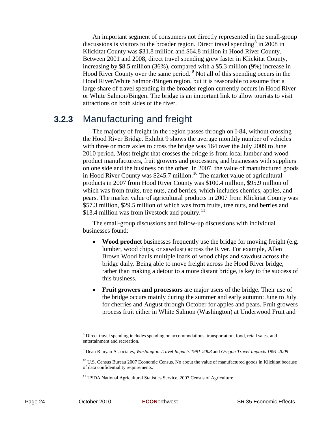An important segment of consumers not directly represented in the small-group discussions is visitors to the broader region. Direct travel spending  $\delta$  in 200[8](#page-33-0) in Klickitat County was \$31.8 million and \$64.8 million in Hood River County. Between 2001 and 2008, direct travel spending grew faster in Klickitat County, increasing by \$8.5 million (36%), compared with a \$5.3 million (9%) increase in Hood River County over the same period. <sup>[9](#page-33-1)</sup> Not all of this spending occurs in the Hood River/White Salmon/Bingen region, but it is reasonable to assume that a large share of travel spending in the broader region currently occurs in Hood River or White Salmon/Bingen. The bridge is an important link to allow tourists to visit attractions on both sides of the river.

### **3.2.3** Manufacturing and freight

The majority of freight in the region passes through on I-84, without crossing the Hood River Bridge. Exhibit 9 shows the average monthly number of vehicles with three or more axles to cross the bridge was 164 over the July 2009 to June 2010 period. Most freight that crosses the bridge is from local lumber and wood product manufacturers, fruit growers and processors, and businesses with suppliers on one side and the business on the other. In 2007, the value of manufactured goods in Hood River County was \$245.7 million.<sup>[10](#page-33-2)</sup> The market value of agricultural products in 2007 from Hood River County was \$100.4 million, \$95.9 million of which was from fruits, tree nuts, and berries, which includes cherries, apples, and pears. The market value of agricultural products in 2007 from Klickitat County was \$57.3 million, \$29.5 million of which was from fruits, tree nuts, and berries and \$13.4 million was from livestock and poultry.<sup>[11](#page-33-3)</sup>

The small-group discussions and follow-up discussions with individual businesses found:

- **Wood product** businesses frequently use the bridge for moving freight (e.g. lumber, wood chips, or sawdust) across the River. For example, Allen Brown Wood hauls multiple loads of wood chips and sawdust across the bridge daily. Being able to move freight across the Hood River bridge, rather than making a detour to a more distant bridge, is key to the success of this business.
- **Fruit growers and processors** are major users of the bridge. Their use of the bridge occurs mainly during the summer and early autumn: June to July for cherries and August through October for apples and pears. Fruit growers process fruit either in White Salmon (Washington) at Underwood Fruit and

<span id="page-33-0"></span><sup>&</sup>lt;sup>8</sup> Direct travel spending includes spending on accommodations, transportation, food, retail sales, and entertainment and recreation.

<span id="page-33-1"></span><sup>9</sup> Dean Runyan Associates, *Washington Travel Impacts 1991-2008* and *Oregon Travel Impacts 1991-2009*

<span id="page-33-2"></span><sup>&</sup>lt;sup>10</sup> U.S. Census Bureau 2007 Economic Census. No about the value of manufactured goods in Klickitat because of data confidentiality requirements.

<span id="page-33-3"></span><sup>&</sup>lt;sup>11</sup> USDA National Agricultural Statistics Service, 2007 Census of Agriculture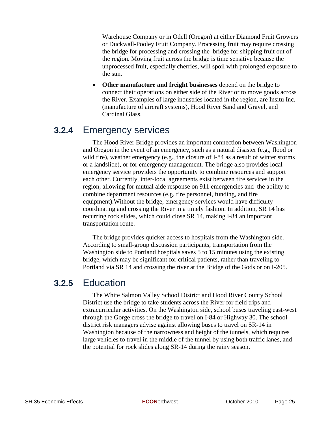Warehouse Company or in Odell (Oregon) at either Diamond Fruit Growers or Duckwall-Pooley Fruit Company. Processing fruit may require crossing the bridge for processing and crossing the bridge for shipping fruit out of the region. Moving fruit across the bridge is time sensitive because the unprocessed fruit, especially cherries, will spoil with prolonged exposure to the sun.

• **Other manufacture and freight businesses** depend on the bridge to connect their operations on either side of the River or to move goods across the River. Examples of large industries located in the region, are Insitu Inc. (manufacture of aircraft systems), Hood River Sand and Gravel, and Cardinal Glass.

### **3.2.4** Emergency services

The Hood River Bridge provides an important connection between Washington and Oregon in the event of an emergency, such as a natural disaster (e.g., flood or wild fire), weather emergency (e.g., the closure of I-84 as a result of winter storms or a landslide), or for emergency management. The bridge also provides local emergency service providers the opportunity to combine resources and support each other. Currently, inter-local agreements exist between fire services in the region, allowing for mutual aide response on 911 emergencies and the ability to combine department resources (e.g. fire personnel, funding, and fire equipment).Without the bridge, emergency services would have difficulty coordinating and crossing the River in a timely fashion. In addition, SR 14 has recurring rock slides, which could close SR 14, making I-84 an important transportation route.

The bridge provides quicker access to hospitals from the Washington side. According to small-group discussion participants, transportation from the Washington side to Portland hospitals saves 5 to 15 minutes using the existing bridge, which may be significant for critical patients, rather than traveling to Portland via SR 14 and crossing the river at the Bridge of the Gods or on I-205.

### **3.2.5** Education

The White Salmon Valley School District and Hood River County School District use the bridge to take students across the River for field trips and extracurricular activities. On the Washington side, school buses traveling east-west through the Gorge cross the bridge to travel on I-84 or Highway 30. The school district risk managers advise against allowing buses to travel on SR-14 in Washington because of the narrowness and height of the tunnels, which requires large vehicles to travel in the middle of the tunnel by using both traffic lanes, and the potential for rock slides along SR-14 during the rainy season.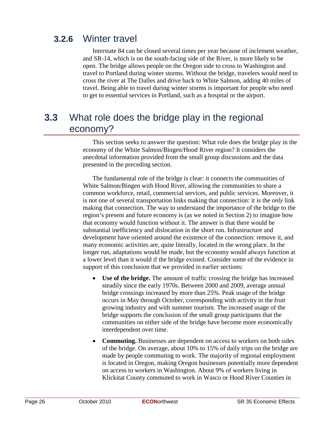### **3.2.6** Winter travel

Interstate 84 can be closed several times per year because of inclement weather, and SR-14, which is on the south-facing side of the River, is more likely to be open. The bridge allows people on the Oregon side to cross to Washington and travel to Portland during winter storms. Without the bridge, travelers would need to cross the river at The Dalles and drive back to White Salmon, adding 40 miles of travel. Being able to travel during winter storms is important for people who need to get to essential services in Portland, such as a hospital or the airport.

### **3.3** What role does the bridge play in the regional economy?

This section seeks to answer the question: What role does the bridge play in the economy of the White Salmon/Bingen/Hood River region? It considers the anecdotal information provided from the small group discussions and the data presented in the preceding section.

The fundamental role of the bridge is clear: it connects the communities of White Salmon/Bingen with Hood River, allowing the communities to share a common workforce, retail, commercial services, and public services. Moreover, it is not one of several transportation links making that connection: it is the *only* link making that connection. The way to understand the importance of the bridge to the region's present and future economy is (as we noted in Section 2) to imagine how that economy would function without it. The answer is that there would be substantial inefficiency and dislocation in the short run. Infrastructure and development have oriented around the existence of the connection: remove it, and many economic activities are, quite literally, located in the wrong place. In the longer run, adaptations would be made, but the economy would always function at a lower level than it would if the bridge existed. Consider some of the evidence in support of this conclusion that we provided in earlier sections:

- **Use of the bridge.** The amount of traffic crossing the bridge has increased steadily since the early 1970s. Between 2000 and 2009, average annual bridge crossings increased by more than 25%. Peak usage of the bridge occurs in May through October, corresponding with activity in the fruit growing industry and with summer tourism. The increased usage of the bridge supports the conclusion of the small group participants that the communities on either side of the bridge have become more economically interdependent over time.
- **Commuting.** Businesses are dependent on access to workers on both sides of the bridge. On average, about 10% to 15% of daily trips on the bridge are made by people commuting to work. The majority of regional employment is located in Oregon, making Oregon businesses potentially more dependent on access to workers in Washington. About 9% of workers living in Klickitat County commuted to work in Wasco or Hood River Counties in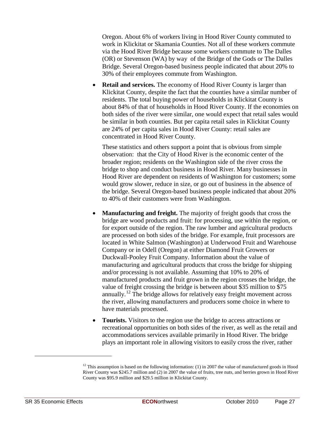Oregon. About 6% of workers living in Hood River County commuted to work in Klickitat or Skamania Counties. Not all of these workers commute via the Hood River Bridge because some workers commute to The Dalles (OR) or Stevenson (WA) by way of the Bridge of the Gods or The Dalles Bridge. Several Oregon-based business people indicated that about 20% to 30% of their employees commute from Washington.

• **Retail and services.** The economy of Hood River County is larger than Klickitat County, despite the fact that the counties have a similar number of residents. The total buying power of households in Klickitat County is about 84% of that of households in Hood River County. If the economies on both sides of the river were similar, one would expect that retail sales would be similar in both counties. But per capita retail sales in Klickitat County are 24% of per capita sales in Hood River County: retail sales are concentrated in Hood River County.

These statistics and others support a point that is obvious from simple observation: that the City of Hood River is the economic center of the broader region; residents on the Washington side of the river cross the bridge to shop and conduct business in Hood River. Many businesses in Hood River are dependent on residents of Washington for customers; some would grow slower, reduce in size, or go out of business in the absence of the bridge. Several Oregon-based business people indicated that about 20% to 40% of their customers were from Washington.

- **Manufacturing and freight.** The majority of freight goods that cross the bridge are wood products and fruit: for processing, use within the region, or for export outside of the region. The raw lumber and agricultural products are processed on both sides of the bridge. For example, fruit processors are located in White Salmon (Washington) at Underwood Fruit and Warehouse Company or in Odell (Oregon) at either Diamond Fruit Growers or Duckwall-Pooley Fruit Company. Information about the value of manufacturing and agricultural products that cross the bridge for shipping and/or processing is not available. Assuming that 10% to 20% of manufactured products and fruit grown in the region crosses the bridge, the value of freight crossing the bridge is between about \$35 million to \$75 annually.<sup>[12](#page-36-0)</sup> The bridge allows for relatively easy freight movement across the river, allowing manufacturers and producers some choice in where to have materials processed.
- **Tourists.** Visitors to the region use the bridge to access attractions or recreational opportunities on both sides of the river, as well as the retail and accommodations services available primarily in Hood River. The bridge plays an important role in allowing visitors to easily cross the river, rather

<span id="page-36-0"></span><sup>&</sup>lt;sup>12</sup> This assumption is based on the following information: (1) in 2007 the value of manufactured goods in Hood River County was \$245.7 million and (2) in 2007 the value of fruits, tree nuts, and berries grown in Hood River County was \$95.9 million and \$29.5 million in Klickitat County.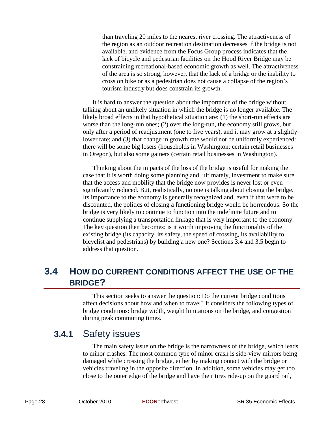than traveling 20 miles to the nearest river crossing. The attractiveness of the region as an outdoor recreation destination decreases if the bridge is not available, and evidence from the Focus Group process indicates that the lack of bicycle and pedestrian facilities on the Hood River Bridge may be constraining recreational-based economic growth as well. The attractiveness of the area is so strong, however, that the lack of a bridge or the inability to cross on bike or as a pedestrian does not cause a collapse of the region's tourism industry but does constrain its growth.

It is hard to answer the question about the importance of the bridge without talking about an unlikely situation in which the bridge is no longer available. The likely broad effects in that hypothetical situation are: (1) the short-run effects are worse than the long-run ones; (2) over the long-run, the economy still grows, but only after a period of readjustment (one to five years), and it may grow at a slightly lower rate; and (3) that change in growth rate would not be uniformly experienced: there will be some big losers (households in Washington; certain retail businesses in Oregon), but also some gainers (certain retail businesses in Washington).

Thinking about the impacts of the loss of the bridge is useful for making the case that it is worth doing some planning and, ultimately, investment to make sure that the access and mobility that the bridge now provides is never lost or even significantly reduced. But, realistically, no one is talking about closing the bridge. Its importance to the economy is generally recognized and, even if that were to be discounted, the politics of closing a functioning bridge would be horrendous. So the bridge is very likely to continue to function into the indefinite future and to continue supplying a transportation linkage that is very important to the economy. The key question then becomes: is it worth improving the functionality of the existing bridge (its capacity, its safety, the speed of crossing, its availability to bicyclist and pedestrians) by building a new one? Sections 3.4 and 3.5 begin to address that question.

### **3.4 HOW DO CURRENT CONDITIONS AFFECT THE USE OF THE BRIDGE?**

This section seeks to answer the question: Do the current bridge conditions affect decisions about how and when to travel? It considers the following types of bridge conditions: bridge width, weight limitations on the bridge, and congestion during peak commuting times.

### **3.4.1** Safety issues

The main safety issue on the bridge is the narrowness of the bridge, which leads to minor crashes. The most common type of minor crash is side-view mirrors being damaged while crossing the bridge, either by making contact with the bridge or vehicles traveling in the opposite direction. In addition, some vehicles may get too close to the outer edge of the bridge and have their tires ride-up on the guard rail,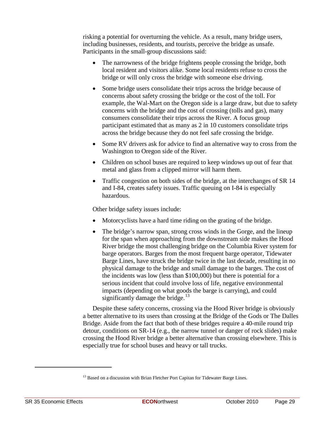risking a potential for overturning the vehicle. As a result, many bridge users, including businesses, residents, and tourists, perceive the bridge as unsafe. Participants in the small-group discussions said:

- The narrowness of the bridge frightens people crossing the bridge, both local resident and visitors alike. Some local residents refuse to cross the bridge or will only cross the bridge with someone else driving.
- Some bridge users consolidate their trips across the bridge because of concerns about safety crossing the bridge or the cost of the toll. For example, the Wal-Mart on the Oregon side is a large draw, but due to safety concerns with the bridge and the cost of crossing (tolls and gas), many consumers consolidate their trips across the River. A focus group participant estimated that as many as 2 in 10 customers consolidate trips across the bridge because they do not feel safe crossing the bridge.
- Some RV drivers ask for advice to find an alternative way to cross from the Washington to Oregon side of the River.
- Children on school buses are required to keep windows up out of fear that metal and glass from a clipped mirror will harm them.
- Traffic congestion on both sides of the bridge, at the interchanges of SR 14 and I-84, creates safety issues. Traffic queuing on I-84 is especially hazardous.

Other bridge safety issues include:

- Motorcyclists have a hard time riding on the grating of the bridge.
- The bridge's narrow span, strong cross winds in the Gorge, and the lineup for the span when approaching from the downstream side makes the Hood River bridge the most challenging bridge on the Columbia River system for barge operators. Barges from the most frequent barge operator, Tidewater Barge Lines, have struck the bridge twice in the last decade, resulting in no physical damage to the bridge and small damage to the barges. The cost of the incidents was low (less than \$100,000) but there is potential for a serious incident that could involve loss of life, negative environmental impacts (depending on what goods the barge is carrying), and could significantly damage the bridge. $13$

Despite these safety concerns, crossing via the Hood River bridge is obviously a better alternative to its users than crossing at the Bridge of the Gods or The Dalles Bridge. Aside from the fact that both of these bridges require a 40-mile round trip detour, conditions on SR-14 (e.g., the narrow tunnel or danger of rock slides) make crossing the Hood River bridge a better alternative than crossing elsewhere. This is especially true for school buses and heavy or tall trucks.

<span id="page-38-0"></span><sup>&</sup>lt;sup>13</sup> Based on a discussion with Brian Fletcher Port Capitan for Tidewater Barge Lines.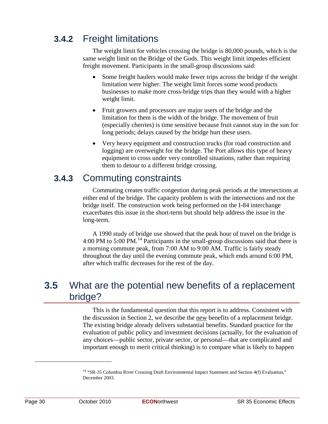### **3.4.2** Freight limitations

The weight limit for vehicles crossing the bridge is 80,000 pounds, which is the same weight limit on the Bridge of the Gods. This weight limit impedes efficient freight movement. Participants in the small-group discussions said:

- Some freight haulers would make fewer trips across the bridge if the weight limitation were higher. The weight limit forces some wood products businesses to make more cross-bridge trips than they would with a higher weight limit.
- Fruit growers and processors are major users of the bridge and the limitation for them is the width of the bridge. The movement of fruit (especially cherries) is time sensitive because fruit cannot stay in the sun for long periods; delays caused by the bridge hurt these users.
- Very heavy equipment and construction trucks (for road construction and logging) are overweight for the bridge. The Port allows this type of heavy equipment to cross under very controlled situations, rather than requiring them to detour to a different bridge crossing.

### **3.4.3** Commuting constraints

Commuting creates traffic congestion during peak periods at the intersections at either end of the bridge. The capacity problem is with the intersections and not the bridge itself. The construction work being performed on the I-84 interchange exacerbates this issue in the short-term but should help address the issue in the long-term.

A 1990 study of bridge use showed that the peak hour of travel on the bridge is 4:00 PM to 5:00 PM.<sup>[14](#page-39-0)</sup> Participants in the small-group discussions said that there is a morning commute peak, from 7:00 AM to 9:00 AM. Traffic is fairly steady throughout the day until the evening commute peak, which ends around 6:00 PM, after which traffic decreases for the rest of the day.

### **3.5** What are the potential new benefits of a replacement bridge?

This is the fundamental question that this report is to address. Consistent with the discussion in Section 2, we describe the new benefits of a replacement bridge. The existing bridge already delivers substantial benefits. Standard practice for the evaluation of public policy and investment decisions (actually, for the evaluation of any choices—public sector, private sector, or personal—that are complicated and important enough to merit critical thinking) is to compare what is likely to happen

<span id="page-39-0"></span><sup>&</sup>lt;sup>14</sup> "SR-35 Columbia River Crossing Draft Environmental Impact Statement and Section 4(f) Evaluation," December 2003.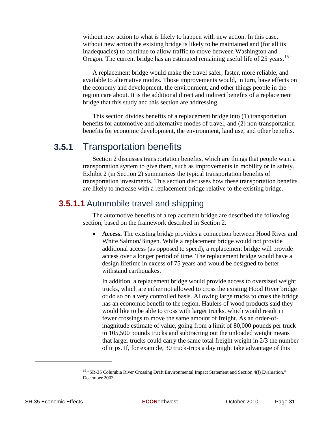without new action to what is likely to happen with new action. In this case, without new action the existing bridge is likely to be maintained and (for all its inadequacies) to continue to allow traffic to move between Washington and Oregon. The current bridge has an estimated remaining useful life of 25 years.<sup>[15](#page-40-0)</sup>

A replacement bridge would make the travel safer, faster, more reliable, and available to alternative modes. Those improvements would, in turn, have effects on the economy and development, the environment, and other things people in the region care about. It is the **additional** direct and indirect benefits of a replacement bridge that this study and this section are addressing.

This section divides benefits of a replacement bridge into (1) transportation benefits for automotive and alternative modes of travel, and (2) non-transportation benefits for economic development, the environment, land use, and other benefits.

### **3.5.1** Transportation benefits

Section 2 discusses transportation benefits, which are things that people want a transportation system to give them, such as improvements in mobility or in safety. Exhibit 2 (in Section 2) summarizes the typical transportation benefits of transportation investments. This section discusses how these transportation benefits are likely to increase with a replacement bridge relative to the existing bridge.

#### **3.5.1.1** Automobile travel and shipping

The automotive benefits of a replacement bridge are described the following section, based on the framework described in Section 2.

• **Access.** The existing bridge provides a connection between Hood River and White Salmon/Bingen. While a replacement bridge would not provide additional access (as opposed to speed), a replacement bridge will provide access over a longer period of time. The replacement bridge would have a design lifetime in excess of 75 years and would be designed to better withstand earthquakes.

In addition, a replacement bridge would provide access to oversized weight trucks, which are either not allowed to cross the existing Hood River bridge or do so on a very controlled basis. Allowing large trucks to cross the bridge has an economic benefit to the region. Haulers of wood products said they would like to be able to cross with larger trucks, which would result in fewer crossings to move the same amount of freight. As an order-ofmagnitude estimate of value, going from a limit of 80,000 pounds per truck to 105,500 pounds trucks and subtracting out the unloaded weight means that larger trucks could carry the same total freight weight in 2/3 the number of trips. If, for example, 30 truck-trips a day might take advantage of this

<span id="page-40-0"></span><sup>&</sup>lt;sup>15</sup> "SR-35 Columbia River Crossing Draft Environmental Impact Statement and Section 4(f) Evaluation," December 2003.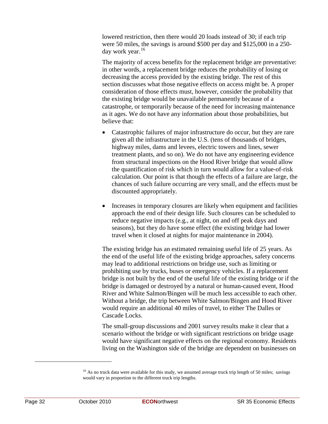lowered restriction, then there would 20 loads instead of 30; if each trip were 50 miles, the savings is around \$500 per day and \$125,000 in a 250- day work year.<sup>[16](#page-41-0)</sup>

The majority of access benefits for the replacement bridge are preventative: in other words, a replacement bridge reduces the probability of losing or decreasing the access provided by the existing bridge. The rest of this section discusses what those negative effects on access might be. A proper consideration of those effects must, however, consider the probability that the existing bridge would be unavailable permanently because of a catastrophe, or temporarily because of the need for increasing maintenance as it ages. We do not have any information about those probabilities, but believe that:

- Catastrophic failures of major infrastructure do occur, but they are rare given all the infrastructure in the U.S. (tens of thousands of bridges, highway miles, dams and levees, electric towers and lines, sewer treatment plants, and so on). We do not have any engineering evidence from structural inspections on the Hood River bridge that would allow the quantification of risk which in turn would allow for a value-of-risk calculation. Our point is that though the effects of a failure are large, the chances of such failure occurring are very small, and the effects must be discounted appropriately.
- Increases in temporary closures are likely when equipment and facilities approach the end of their design life. Such closures can be scheduled to reduce negative impacts (e.g., at night, on and off peak days and seasons), but they do have some effect (the existing bridge had lower travel when it closed at nights for major maintenance in 2004).

The existing bridge has an estimated remaining useful life of 25 years. As the end of the useful life of the existing bridge approaches, safety concerns may lead to additional restrictions on bridge use, such as limiting or prohibiting use by trucks, buses or emergency vehicles. If a replacement bridge is not built by the end of the useful life of the existing bridge or if the bridge is damaged or destroyed by a natural or human-caused event, Hood River and White Salmon/Bingen will be much less accessible to each other. Without a bridge, the trip between White Salmon/Bingen and Hood River would require an additional 40 miles of travel, to either The Dalles or Cascade Locks.

The small-group discussions and 2001 survey results make it clear that a scenario without the bridge or with significant restrictions on bridge usage would have significant negative effects on the regional economy. Residents living on the Washington side of the bridge are dependent on businesses on

<span id="page-41-0"></span><sup>&</sup>lt;sup>16</sup> As no truck data were available for this study, we assumed average truck trip length of 50 miles; savings would vary in proportion to the different truck trip lengths.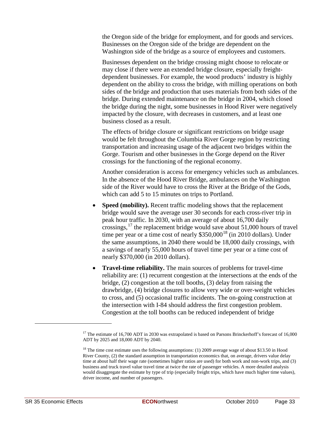the Oregon side of the bridge for employment, and for goods and services. Businesses on the Oregon side of the bridge are dependent on the Washington side of the bridge as a source of employees and customers.

Businesses dependent on the bridge crossing might choose to relocate or may close if there were an extended bridge closure, especially freightdependent businesses. For example, the wood products' industry is highly dependent on the ability to cross the bridge, with milling operations on both sides of the bridge and production that uses materials from both sides of the bridge. During extended maintenance on the bridge in 2004, which closed the bridge during the night, some businesses in Hood River were negatively impacted by the closure, with decreases in customers, and at least one business closed as a result.

The effects of bridge closure or significant restrictions on bridge usage would be felt throughout the Columbia River Gorge region by restricting transportation and increasing usage of the adjacent two bridges within the Gorge. Tourism and other businesses in the Gorge depend on the River crossings for the functioning of the regional economy.

Another consideration is access for emergency vehicles such as ambulances. In the absence of the Hood River Bridge, ambulances on the Washington side of the River would have to cross the River at the Bridge of the Gods, which can add 5 to 15 minutes on trips to Portland.

- **Speed (mobility).** Recent traffic modeling shows that the replacement bridge would save the average user 30 seconds for each cross-river trip in peak hour traffic. In 2030, with an average of about 16,700 daily crossings,  $17$  the replacement bridge would save about 51,000 hours of travel time per year or a time cost of nearly  $$350,000^{18}$  $$350,000^{18}$  $$350,000^{18}$  (in 2010 dollars). Under the same assumptions, in 2040 there would be 18,000 daily crossings, with a savings of nearly 55,000 hours of travel time per year or a time cost of nearly \$370,000 (in 2010 dollars).
- **Travel-time reliability.** The main sources of problems for travel-time reliability are: (1) recurrent congestion at the intersections at the ends of the bridge, (2) congestion at the toll booths, (3) delay from raising the drawbridge, (4) bridge closures to allow very wide or over-weight vehicles to cross, and (5) occasional traffic incidents. The on-going construction at the intersection with I-84 should address the first congestion problem. Congestion at the toll booths can be reduced independent of bridge

<span id="page-42-0"></span><sup>&</sup>lt;sup>17</sup> The estimate of 16,700 ADT in 2030 was extrapolated is based on Parsons Brinckerhoff's forecast of 16,000 ADT by 2025 and 18,000 ADT by 2040.

<span id="page-42-1"></span><sup>&</sup>lt;sup>18</sup> The time cost estimate uses the following assumptions: (1) 2009 average wage of about \$13.50 in Hood River County, (2) the standard assumption in transportation economics that, on average, drivers value delay time at about half their wage rate (sometimes higher ratios are used) for both work and non-work trips, and (3) business and truck travel value travel time at twice the rate of passenger vehicles. A more detailed analysis would disaggregate the estimate by type of trip (especially freight trips, which have much higher time values), driver income, and number of passengers.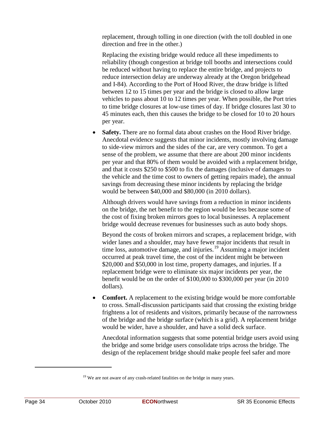replacement, through tolling in one direction (with the toll doubled in one direction and free in the other.)

Replacing the existing bridge would reduce all these impediments to reliability (though congestion at bridge toll booths and intersections could be reduced without having to replace the entire bridge, and projects to reduce intersection delay are underway already at the Oregon bridgehead and I-84). According to the Port of Hood River, the draw bridge is lifted between 12 to 15 times per year and the bridge is closed to allow large vehicles to pass about 10 to 12 times per year. When possible, the Port tries to time bridge closures at low-use times of day. If bridge closures last 30 to 45 minutes each, then this causes the bridge to be closed for 10 to 20 hours per year.

• **Safety.** There are no formal data about crashes on the Hood River bridge. Anecdotal evidence suggests that minor incidents, mostly involving damage to side-view mirrors and the sides of the car, are very common. To get a sense of the problem, we assume that there are about 200 minor incidents per year and that 80% of them would be avoided with a replacement bridge, and that it costs \$250 to \$500 to fix the damages (inclusive of damages to the vehicle and the time cost to owners of getting repairs made), the annual savings from decreasing these minor incidents by replacing the bridge would be between \$40,000 and \$80,000 (in 2010 dollars).

Although drivers would have savings from a reduction in minor incidents on the bridge, the net benefit to the region would be less because some of the cost of fixing broken mirrors goes to local businesses. A replacement bridge would decrease revenues for businesses such as auto body shops.

Beyond the costs of broken mirrors and scrapes, a replacement bridge, with wider lanes and a shoulder, may have fewer major incidents that result in time loss, automotive damage, and injuries.<sup>[19](#page-43-0)</sup> Assuming a major incident occurred at peak travel time, the cost of the incident might be between \$20,000 and \$50,000 in lost time, property damages, and injuries. If a replacement bridge were to eliminate six major incidents per year, the benefit would be on the order of \$100,000 to \$300,000 per year (in 2010 dollars).

• **Comfort.** A replacement to the existing bridge would be more comfortable to cross. Small-discussion participants said that crossing the existing bridge frightens a lot of residents and visitors, primarily because of the narrowness of the bridge and the bridge surface (which is a grid). A replacement bridge would be wider, have a shoulder, and have a solid deck surface.

Anecdotal information suggests that some potential bridge users avoid using the bridge and some bridge users consolidate trips across the bridge. The design of the replacement bridge should make people feel safer and more

<span id="page-43-0"></span> $19$  We are not aware of any crash-related fatalities on the bridge in many years.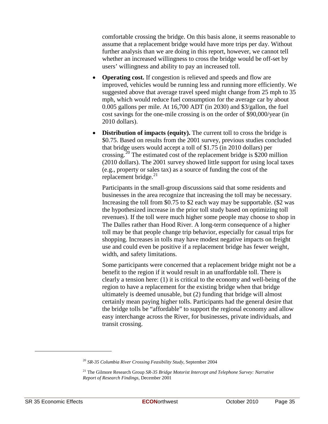comfortable crossing the bridge. On this basis alone, it seems reasonable to assume that a replacement bridge would have more trips per day. Without further analysis than we are doing in this report, however, we cannot tell whether an increased willingness to cross the bridge would be off-set by users' willingness and ability to pay an increased toll.

- **Operating cost.** If congestion is relieved and speeds and flow are improved, vehicles would be running less and running more efficiently. We suggested above that average travel speed might change from 25 mph to 35 mph, which would reduce fuel consumption for the average car by about 0.005 gallons per mile. At 16,700 ADT (in 2030) and \$3/gallon, the fuel cost savings for the one-mile crossing is on the order of \$90,000/year (in 2010 dollars).
- **Distribution of impacts (equity).** The current toll to cross the bridge is \$0.75. Based on results from the 2001 survey, previous studies concluded that bridge users would accept a toll of \$1.75 (in 2010 dollars) per crossing.<sup>[20](#page-44-0)</sup> The estimated cost of the replacement bridge is \$200 million (2010 dollars). The 2001 survey showed little support for using local taxes (e.g., property or sales tax) as a source of funding the cost of the replacement bridge.<sup>[21](#page-44-1)</sup>

Participants in the small-group discussions said that some residents and businesses in the area recognize that increasing the toll may be necessary. Increasing the toll from \$0.75 to \$2 each way may be supportable. (\$2 was the hypothesized increase in the prior toll study based on optimizing toll revenues). If the toll were much higher some people may choose to shop in The Dalles rather than Hood River. A long-term consequence of a higher toll may be that people change trip behavior, especially for casual trips for shopping. Increases in tolls may have modest negative impacts on freight use and could even be positive if a replacement bridge has fewer weight, width, and safety limitations.

Some participants were concerned that a replacement bridge might not be a benefit to the region if it would result in an unaffordable toll. There is clearly a tension here: (1) it is critical to the economy and well-being of the region to have a replacement for the existing bridge when that bridge ultimately is deemed unusable, but (2) funding that bridge will almost certainly mean paying higher tolls. Participants had the general desire that the bridge tolls be "affordable" to support the regional economy and allow easy interchange across the River, for businesses, private individuals, and transit crossing.

<span id="page-44-0"></span><sup>20</sup> *SR-35 Columbia River Crossing Feasibility Study*, September 2004

<span id="page-44-1"></span><sup>21</sup> The Gilmore Research Group *SR-35 Bridge Motorist Intercept and Telephone Survey: Narrative Report of Research Findings*, December 2001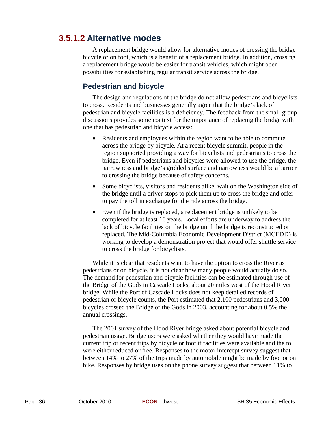### **3.5.1.2 Alternative modes**

A replacement bridge would allow for alternative modes of crossing the bridge bicycle or on foot, which is a benefit of a replacement bridge. In addition, crossing a replacement bridge would be easier for transit vehicles, which might open possibilities for establishing regular transit service across the bridge.

#### **Pedestrian and bicycle**

The design and regulations of the bridge do not allow pedestrians and bicyclists to cross. Residents and businesses generally agree that the bridge's lack of pedestrian and bicycle facilities is a deficiency. The feedback from the small-group discussions provides some context for the importance of replacing the bridge with one that has pedestrian and bicycle access:

- Residents and employees within the region want to be able to commute across the bridge by bicycle. At a recent bicycle summit, people in the region supported providing a way for bicyclists and pedestrians to cross the bridge. Even if pedestrians and bicycles were allowed to use the bridge, the narrowness and bridge's gridded surface and narrowness would be a barrier to crossing the bridge because of safety concerns.
- Some bicyclists, visitors and residents alike, wait on the Washington side of the bridge until a driver stops to pick them up to cross the bridge and offer to pay the toll in exchange for the ride across the bridge.
- Even if the bridge is replaced, a replacement bridge is unlikely to be completed for at least 10 years. Local efforts are underway to address the lack of bicycle facilities on the bridge until the bridge is reconstructed or replaced. The Mid-Columbia Economic Development District (MCEDD) is working to develop a demonstration project that would offer shuttle service to cross the bridge for bicyclists.

While it is clear that residents want to have the option to cross the River as pedestrians or on bicycle, it is not clear how many people would actually do so. The demand for pedestrian and bicycle facilities can be estimated through use of the Bridge of the Gods in Cascade Locks, about 20 miles west of the Hood River bridge. While the Port of Cascade Locks does not keep detailed records of pedestrian or bicycle counts, the Port estimated that 2,100 pedestrians and 3,000 bicycles crossed the Bridge of the Gods in 2003, accounting for about 0.5% the annual crossings.

The 2001 survey of the Hood River bridge asked about potential bicycle and pedestrian usage. Bridge users were asked whether they would have made the current trip or recent trips by bicycle or foot if facilities were available and the toll were either reduced or free. Responses to the motor intercept survey suggest that between 14% to 27% of the trips made by automobile might be made by foot or on bike. Responses by bridge uses on the phone survey suggest that between 11% to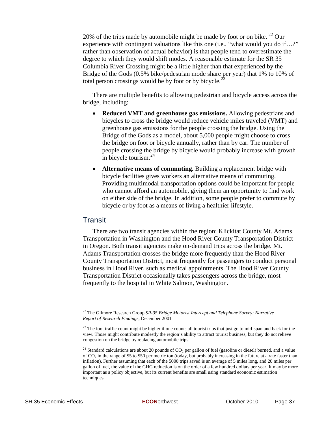20% of the trips made by automobile might be made by foot or on bike.  $^{22}$  $^{22}$  $^{22}$  Our experience with contingent valuations like this one (i.e., "what would you do if...?" rather than observation of actual behavior) is that people tend to overestimate the degree to which they would shift modes. A reasonable estimate for the SR 35 Columbia River Crossing might be a little higher than that experienced by the Bridge of the Gods (0.5% bike/pedestrian mode share per year) that 1% to 10% of total person crossings would be by foot or by bicycle.<sup>[23](#page-46-1)</sup>

There are multiple benefits to allowing pedestrian and bicycle access across the bridge, including:

- **Reduced VMT and greenhouse gas emissions.** Allowing pedestrians and bicycles to cross the bridge would reduce vehicle miles traveled (VMT) and greenhouse gas emissions for the people crossing the bridge. Using the Bridge of the Gods as a model, about 5,000 people might choose to cross the bridge on foot or bicycle annually, rather than by car. The number of people crossing the bridge by bicycle would probably increase with growth in bicycle tourism.<sup>[24](#page-46-2)</sup>
- **Alternative means of commuting.** Building a replacement bridge with bicycle facilities gives workers an alternative means of commuting. Providing multimodal transportation options could be important for people who cannot afford an automobile, giving them an opportunity to find work on either side of the bridge. In addition, some people prefer to commute by bicycle or by foot as a means of living a healthier lifestyle.

#### Transit

There are two transit agencies within the region: Klickitat County Mt. Adams Transportation in Washington and the Hood River County Transportation District in Oregon. Both transit agencies make on-demand trips across the bridge. Mt. Adams Transportation crosses the bridge more frequently than the Hood River County Transportation District, most frequently for passengers to conduct personal business in Hood River, such as medical appointments. The Hood River County Transportation District occasionally takes passengers across the bridge, most frequently to the hospital in White Salmon, Washington.

<span id="page-46-0"></span><sup>22</sup> The Gilmore Research Group *SR-35 Bridge Motorist Intercept and Telephone Survey: Narrative Report of Research Findings*, December 2001

<span id="page-46-1"></span><sup>&</sup>lt;sup>23</sup> The foot traffic count might be higher if one counts all tourist trips that just go to mid-span and back for the view. Those might contribute modestly the region's ability to attract tourist business, but they do not relieve congestion on the bridge by replacing automobile trips.

<span id="page-46-2"></span><sup>&</sup>lt;sup>24</sup> Standard calculations are about 20 pounds of  $CO<sub>2</sub>$  per gallon of fuel (gasoline or diesel) burned, and a value of  $CO<sub>2</sub>$  in the range of \$5 to \$50 per metric ton (today, but probably increasing in the future at a rate faster than inflation). Further assuming that each of the 5000 trips saved is an average of 5 miles long, and 20 miles per gallon of fuel, the value of the GHG reduction is on the order of a few hundred dollars per year. It may be more important as a policy objective, but its current benefits are small using standard economic estimation techniques.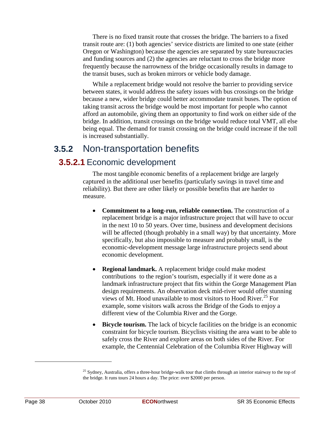There is no fixed transit route that crosses the bridge. The barriers to a fixed transit route are: (1) both agencies' service districts are limited to one state (either Oregon or Washington) because the agencies are separated by state bureaucracies and funding sources and (2) the agencies are reluctant to cross the bridge more frequently because the narrowness of the bridge occasionally results in damage to the transit buses, such as broken mirrors or vehicle body damage.

While a replacement bridge would not resolve the barrier to providing service between states, it would address the safety issues with bus crossings on the bridge because a new, wider bridge could better accommodate transit buses. The option of taking transit across the bridge would be most important for people who cannot afford an automobile, giving them an opportunity to find work on either side of the bridge. In addition, transit crossings on the bridge would reduce total VMT, all else being equal. The demand for transit crossing on the bridge could increase if the toll is increased substantially.

### **3.5.2** Non-transportation benefits

#### **3.5.2.1** Economic development

The most tangible economic benefits of a replacement bridge are largely captured in the additional user benefits (particularly savings in travel time and reliability). But there are other likely or possible benefits that are harder to measure.

- **Commitment to a long-run, reliable connection.** The construction of a replacement bridge is a major infrastructure project that will have to occur in the next 10 to 50 years. Over time, business and development decisions will be affected (though probably in a small way) by that uncertainty. More specifically, but also impossible to measure and probably small, is the economic-development message large infrastructure projects send about economic development.
- **Regional landmark.** A replacement bridge could make modest contributions to the region's tourism, especially if it were done as a landmark infrastructure project that fits within the Gorge Management Plan design requirements. An observation deck mid-river would offer stunning views of Mt. Hood unavailable to most visitors to Hood River.<sup>[25](#page-47-0)</sup> For example, some visitors walk across the Bridge of the Gods to enjoy a different view of the Columbia River and the Gorge.
- **Bicycle tourism.** The lack of bicycle facilities on the bridge is an economic constraint for bicycle tourism. Bicyclists visiting the area want to be able to safely cross the River and explore areas on both sides of the River. For example, the Centennial Celebration of the Columbia River Highway will

<span id="page-47-0"></span> $^{25}$  Sydney, Australia, offers a three-hour bridge-walk tour that climbs through an interior stairway to the top of the bridge. It runs tours 24 hours a day. The price: over \$2000 per person.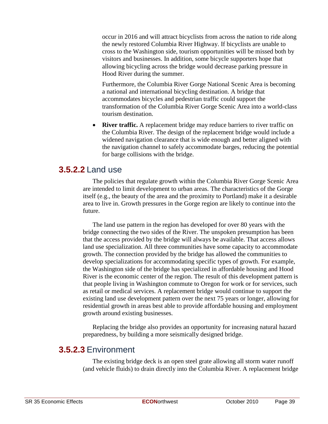occur in 2016 and will attract bicyclists from across the nation to ride along the newly restored Columbia River Highway. If bicyclists are unable to cross to the Washington side, tourism opportunities will be missed both by visitors and businesses. In addition, some bicycle supporters hope that allowing bicycling across the bridge would decrease parking pressure in Hood River during the summer.

Furthermore, the Columbia River Gorge National Scenic Area is becoming a national and international bicycling destination. A bridge that accommodates bicycles and pedestrian traffic could support the transformation of the Columbia River Gorge Scenic Area into a world-class tourism destination.

**River traffic.** A replacement bridge may reduce barriers to river traffic on the Columbia River. The design of the replacement bridge would include a widened navigation clearance that is wide enough and better aligned with the navigation channel to safely accommodate barges, reducing the potential for barge collisions with the bridge.

#### **3.5.2.2** Land use

The policies that regulate growth within the Columbia River Gorge Scenic Area are intended to limit development to urban areas. The characteristics of the Gorge itself (e.g., the beauty of the area and the proximity to Portland) make it a desirable area to live in. Growth pressures in the Gorge region are likely to continue into the future.

The land use pattern in the region has developed for over 80 years with the bridge connecting the two sides of the River. The unspoken presumption has been that the access provided by the bridge will always be available. That access allows land use specialization. All three communities have some capacity to accommodate growth. The connection provided by the bridge has allowed the communities to develop specializations for accommodating specific types of growth. For example, the Washington side of the bridge has specialized in affordable housing and Hood River is the economic center of the region. The result of this development pattern is that people living in Washington commute to Oregon for work or for services, such as retail or medical services. A replacement bridge would continue to support the existing land use development pattern over the next 75 years or longer, allowing for residential growth in areas best able to provide affordable housing and employment growth around existing businesses.

Replacing the bridge also provides an opportunity for increasing natural hazard preparedness, by building a more seismically designed bridge.

#### **3.5.2.3** Environment

The existing bridge deck is an open steel grate allowing all storm water runoff (and vehicle fluids) to drain directly into the Columbia River. A replacement bridge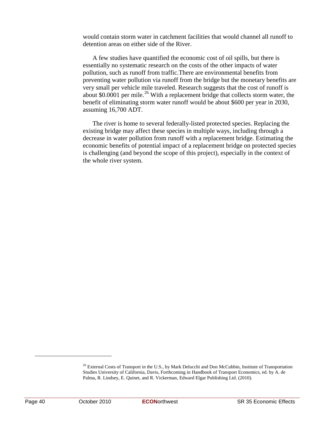would contain storm water in catchment facilities that would channel all runoff to detention areas on either side of the River.

A few studies have quantified the economic cost of oil spills, but there is essentially no systematic research on the costs of the other impacts of water pollution, such as runoff from traffic.There are environmental benefits from preventing water pollution via runoff from the bridge but the monetary benefits are very small per vehicle mile traveled. Research suggests that the cost of runoff is about \$0.0001 per mile.<sup>[26](#page-49-0)</sup> With a replacement bridge that collects storm water, the benefit of eliminating storm water runoff would be about \$600 per year in 2030, assuming 16,700 ADT.

The river is home to several federally-listed protected species. Replacing the existing bridge may affect these species in multiple ways, including through a decrease in water pollution from runoff with a replacement bridge. Estimating the economic benefits of potential impact of a replacement bridge on protected species is challenging (and beyond the scope of this project), especially in the context of the whole river system.

<span id="page-49-0"></span><sup>&</sup>lt;sup>26</sup> External Costs of Transport in the U.S., by Mark Delucchi and Don McCubbin, Institute of Transportation Studies University of California, Davis, Forthcoming in Handbook of Transport Economics, ed. by A. de Palma, R. Lindsey, E. Quinet, and R. Vickerman, Edward Elgar Publishing Ltd. (2010).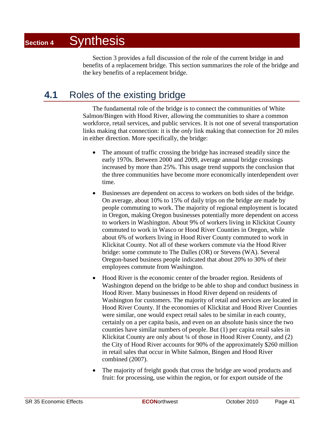Section 3 provides a full discussion of the role of the current bridge in and benefits of a replacement bridge. This section summarizes the role of the bridge and the key benefits of a replacement bridge.

### **4.1** Roles of the existing bridge

The fundamental role of the bridge is to connect the communities of White Salmon/Bingen with Hood River, allowing the communities to share a common workforce, retail services, and public services. It is not one of several transportation links making that connection: it is the *only* link making that connection for 20 miles in either direction. More specifically, the bridge:

- The amount of traffic crossing the bridge has increased steadily since the early 1970s. Between 2000 and 2009, average annual bridge crossings increased by more than 25%. This usage trend supports the conclusion that the three communities have become more economically interdependent over time.
- Businesses are dependent on access to workers on both sides of the bridge. On average, about 10% to 15% of daily trips on the bridge are made by people commuting to work. The majority of regional employment is located in Oregon, making Oregon businesses potentially more dependent on access to workers in Washington. About 9% of workers living in Klickitat County commuted to work in Wasco or Hood River Counties in Oregon, while about 6% of workers living in Hood River County commuted to work in Klickitat County. Not all of these workers commute via the Hood River bridge: some commute to The Dalles (OR) or Stevens (WA). Several Oregon-based business people indicated that about 20% to 30% of their employees commute from Washington.
- Hood River is the economic center of the broader region. Residents of Washington depend on the bridge to be able to shop and conduct business in Hood River. Many businesses in Hood River depend on residents of Washington for customers. The majority of retail and services are located in Hood River County. If the economies of Klickitat and Hood River Counties were similar, one would expect retail sales to be similar in each county, certainly on a per capita basis, and even on an absolute basis since the two counties have similar numbers of people. But (1) per capita retail sales in Klickitat County are only about ¼ of those in Hood River County, and (2) the City of Hood River accounts for 90% of the approximately \$260 million in retail sales that occur in White Salmon, Bingen and Hood River combined (2007).
- The majority of freight goods that cross the bridge are wood products and fruit: for processing, use within the region, or for export outside of the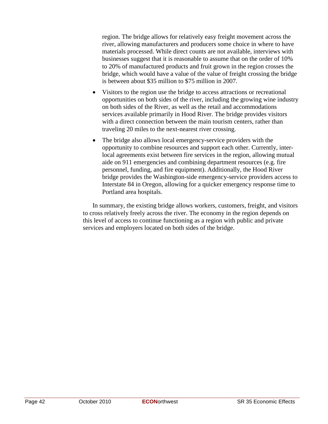region. The bridge allows for relatively easy freight movement across the river, allowing manufacturers and producers some choice in where to have materials processed. While direct counts are not available, interviews with businesses suggest that it is reasonable to assume that on the order of 10% to 20% of manufactured products and fruit grown in the region crosses the bridge, which would have a value of the value of freight crossing the bridge is between about \$35 million to \$75 million in 2007.

- Visitors to the region use the bridge to access attractions or recreational opportunities on both sides of the river, including the growing wine industry on both sides of the River, as well as the retail and accommodations services available primarily in Hood River. The bridge provides visitors with a direct connection between the main tourism centers, rather than traveling 20 miles to the next-nearest river crossing.
- The bridge also allows local emergency-service providers with the opportunity to combine resources and support each other. Currently, interlocal agreements exist between fire services in the region, allowing mutual aide on 911 emergencies and combining department resources (e.g. fire personnel, funding, and fire equipment). Additionally, the Hood River bridge provides the Washington-side emergency-service providers access to Interstate 84 in Oregon, allowing for a quicker emergency response time to Portland area hospitals.

In summary, the existing bridge allows workers, customers, freight, and visitors to cross relatively freely across the river. The economy in the region depends on this level of access to continue functioning as a region with public and private services and employers located on both sides of the bridge.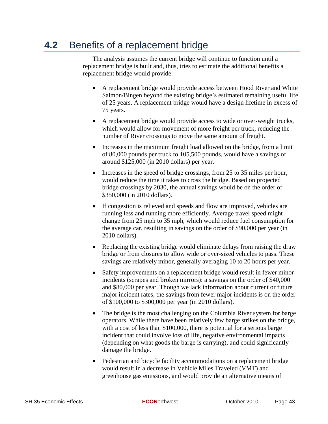### **4.2** Benefits of a replacement bridge

The analysis assumes the current bridge will continue to function until a replacement bridge is built and, thus, tries to estimate the additional benefits a replacement bridge would provide:

- A replacement bridge would provide access between Hood River and White Salmon/Bingen beyond the existing bridge's estimated remaining useful life of 25 years. A replacement bridge would have a design lifetime in excess of 75 years.
- A replacement bridge would provide access to wide or over-weight trucks, which would allow for movement of more freight per truck, reducing the number of River crossings to move the same amount of freight.
- Increases in the maximum freight load allowed on the bridge, from a limit of 80,000 pounds per truck to 105,500 pounds, would have a savings of around \$125,000 (in 2010 dollars) per year.
- Increases in the speed of bridge crossings, from 25 to 35 miles per hour, would reduce the time it takes to cross the bridge. Based on projected bridge crossings by 2030, the annual savings would be on the order of \$350,000 (in 2010 dollars).
- If congestion is relieved and speeds and flow are improved, vehicles are running less and running more efficiently. Average travel speed might change from 25 mph to 35 mph, which would reduce fuel consumption for the average car, resulting in savings on the order of \$90,000 per year (in 2010 dollars).
- Replacing the existing bridge would eliminate delays from raising the draw bridge or from closures to allow wide or over-sized vehicles to pass. These savings are relatively minor, generally averaging 10 to 20 hours per year.
- Safety improvements on a replacement bridge would result in fewer minor incidents (scrapes and broken mirrors): a savings on the order of \$40,000 and \$80,000 per year. Though we lack information about current or future major incident rates, the savings from fewer major incidents is on the order of \$100,000 to \$300,000 per year (in 2010 dollars).
- The bridge is the most challenging on the Columbia River system for barge operators. While there have been relatively few barge strikes on the bridge, with a cost of less than \$100,000, there is potential for a serious barge incident that could involve loss of life, negative environmental impacts (depending on what goods the barge is carrying), and could significantly damage the bridge.
- Pedestrian and bicycle facility accommodations on a replacement bridge would result in a decrease in Vehicle Miles Traveled (VMT) and greenhouse gas emissions, and would provide an alternative means of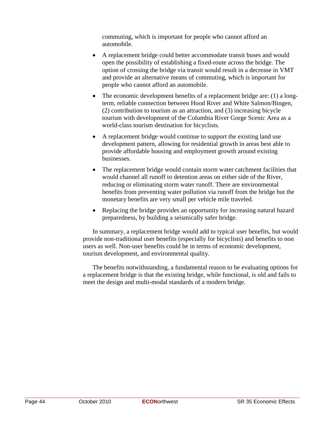commuting, which is important for people who cannot afford an automobile.

- A replacement bridge could better accommodate transit buses and would open the possibility of establishing a fixed-route across the bridge. The option of crossing the bridge via transit would result in a decrease in VMT and provide an alternative means of commuting, which is important for people who cannot afford an automobile.
- The economic development benefits of a replacement bridge are: (1) a longterm, reliable connection between Hood River and White Salmon/Bingen, (2) contribution to tourism as an attraction, and (3) increasing bicycle tourism with development of the Columbia River Gorge Scenic Area as a world-class tourism destination for bicyclists.
- A replacement bridge would continue to support the existing land use development pattern, allowing for residential growth in areas best able to provide affordable housing and employment growth around existing businesses.
- The replacement bridge would contain storm water catchment facilities that would channel all runoff to detention areas on either side of the River, reducing or eliminating storm water runoff. There are environmental benefits from preventing water pollution via runoff from the bridge but the monetary benefits are very small per vehicle mile traveled.
- Replacing the bridge provides an opportunity for increasing natural hazard preparedness, by building a seismically safer bridge.

In summary, a replacement bridge would add to typical user benefits, but would provide non-traditional user benefits (especially for bicyclists) and benefits to non users as well. Non-user benefits could be in terms of economic development, tourism development, and environmental quality.

The benefits notwithstanding, a fundamental reason to be evaluating options for a replacement bridge is that the existing bridge, while functional, is old and fails to meet the design and multi-modal standards of a modern bridge.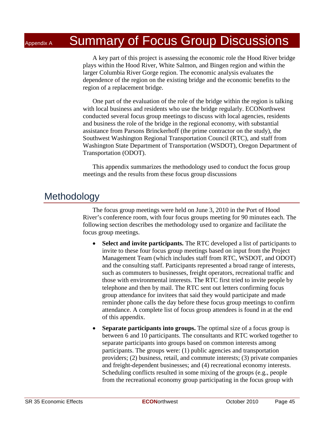## Appendix A Summary of Focus Group Discussions

A key part of this project is assessing the economic role the Hood River bridge plays within the Hood River, White Salmon, and Bingen region and within the larger Columbia River Gorge region. The economic analysis evaluates the dependence of the region on the existing bridge and the economic benefits to the region of a replacement bridge.

One part of the evaluation of the role of the bridge within the region is talking with local business and residents who use the bridge regularly. ECONorthwest conducted several focus group meetings to discuss with local agencies, residents and business the role of the bridge in the regional economy, with substantial assistance from Parsons Brinckerhoff (the prime contractor on the study), the Southwest Washington Regional Transportation Council (RTC), and staff from Washington State Department of Transportation (WSDOT), Oregon Department of Transportation (ODOT).

This appendix summarizes the methodology used to conduct the focus group meetings and the results from these focus group discussions

### **Methodology**

The focus group meetings were held on June 3, 2010 in the Port of Hood River's conference room, with four focus groups meeting for 90 minutes each. The following section describes the methodology used to organize and facilitate the focus group meetings.

- **Select and invite participants.** The RTC developed a list of participants to invite to these four focus group meetings based on input from the Project Management Team (which includes staff from RTC, WSDOT, and ODOT) and the consulting staff. Participants represented a broad range of interests, such as commuters to businesses, freight operators, recreational traffic and those with environmental interests. The RTC first tried to invite people by telephone and then by mail. The RTC sent out letters confirming focus group attendance for invitees that said they would participate and made reminder phone calls the day before these focus group meetings to confirm attendance. A complete list of focus group attendees is found in at the end of this appendix.
- **Separate participants into groups.** The optimal size of a focus group is between 6 and 10 participants. The consultants and RTC worked together to separate participants into groups based on common interests among participants. The groups were: (1) public agencies and transportation providers; (2) business, retail, and commute interests; (3) private companies and freight-dependent businesses; and (4) recreational economy interests. Scheduling conflicts resulted in some mixing of the groups (e.g., people from the recreational economy group participating in the focus group with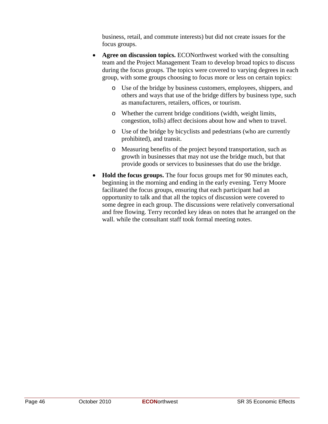business, retail, and commute interests) but did not create issues for the focus groups.

- **Agree on discussion topics.** ECONorthwest worked with the consulting team and the Project Management Team to develop broad topics to discuss during the focus groups. The topics were covered to varying degrees in each group, with some groups choosing to focus more or less on certain topics:
	- o Use of the bridge by business customers, employees, shippers, and others and ways that use of the bridge differs by business type, such as manufacturers, retailers, offices, or tourism.
	- o Whether the current bridge conditions (width, weight limits, congestion, tolls) affect decisions about how and when to travel.
	- o Use of the bridge by bicyclists and pedestrians (who are currently prohibited), and transit.
	- o Measuring benefits of the project beyond transportation, such as growth in businesses that may not use the bridge much, but that provide goods or services to businesses that do use the bridge.
- **Hold the focus groups.** The four focus groups met for 90 minutes each, beginning in the morning and ending in the early evening. Terry Moore facilitated the focus groups, ensuring that each participant had an opportunity to talk and that all the topics of discussion were covered to some degree in each group. The discussions were relatively conversational and free flowing. Terry recorded key ideas on notes that he arranged on the wall. while the consultant staff took formal meeting notes.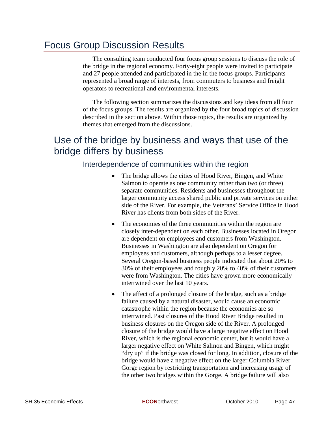### Focus Group Discussion Results

The consulting team conducted four focus group sessions to discuss the role of the bridge in the regional economy. Forty-eight people were invited to participate and 27 people attended and participated in the in the focus groups. Participants represented a broad range of interests, from commuters to business and freight operators to recreational and environmental interests.

The following section summarizes the discussions and key ideas from all four of the focus groups. The results are organized by the four broad topics of discussion described in the section above. Within those topics, the results are organized by themes that emerged from the discussions.

### Use of the bridge by business and ways that use of the bridge differs by business

#### Interdependence of communities within the region

- The bridge allows the cities of Hood River, Bingen, and White Salmon to operate as one community rather than two (or three) separate communities. Residents and businesses throughout the larger community access shared public and private services on either side of the River. For example, the Veterans' Service Office in Hood River has clients from both sides of the River.
- The economies of the three communities within the region are closely inter-dependent on each other. Businesses located in Oregon are dependent on employees and customers from Washington. Businesses in Washington are also dependent on Oregon for employees and customers, although perhaps to a lesser degree. Several Oregon-based business people indicated that about 20% to 30% of their employees and roughly 20% to 40% of their customers were from Washington. The cities have grown more economically intertwined over the last 10 years.
- The affect of a prolonged closure of the bridge, such as a bridge failure caused by a natural disaster, would cause an economic catastrophe within the region because the economies are so intertwined. Past closures of the Hood River Bridge resulted in business closures on the Oregon side of the River. A prolonged closure of the bridge would have a large negative effect on Hood River, which is the regional economic center, but it would have a larger negative effect on White Salmon and Bingen, which might "dry up" if the bridge was closed for long. In addition, closure of the bridge would have a negative effect on the larger Columbia River Gorge region by restricting transportation and increasing usage of the other two bridges within the Gorge. A bridge failure will also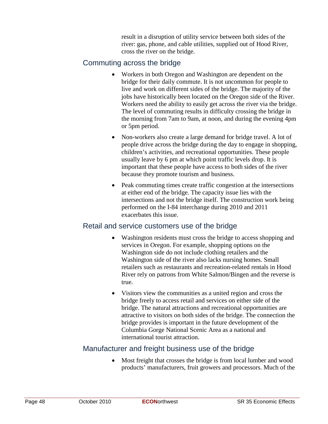result in a disruption of utility service between both sides of the river: gas, phone, and cable utilities, supplied out of Hood River, cross the river on the bridge.

#### Commuting across the bridge

- Workers in both Oregon and Washington are dependent on the bridge for their daily commute. It is not uncommon for people to live and work on different sides of the bridge. The majority of the jobs have historically been located on the Oregon side of the River. Workers need the ability to easily get across the river via the bridge. The level of commuting results in difficulty crossing the bridge in the morning from 7am to 9am, at noon, and during the evening 4pm or 5pm period.
- Non-workers also create a large demand for bridge travel. A lot of people drive across the bridge during the day to engage in shopping, children's activities, and recreational opportunities. These people usually leave by 6 pm at which point traffic levels drop. It is important that these people have access to both sides of the river because they promote tourism and business.
- Peak commuting times create traffic congestion at the intersections at either end of the bridge. The capacity issue lies with the intersections and not the bridge itself. The construction work being performed on the I-84 interchange during 2010 and 2011 exacerbates this issue.

#### Retail and service customers use of the bridge

- Washington residents must cross the bridge to access shopping and services in Oregon. For example, shopping options on the Washington side do not include clothing retailers and the Washington side of the river also lacks nursing homes. Small retailers such as restaurants and recreation-related rentals in Hood River rely on patrons from White Salmon/Bingen and the reverse is true.
- Visitors view the communities as a united region and cross the bridge freely to access retail and services on either side of the bridge. The natural attractions and recreational opportunities are attractive to visitors on both sides of the bridge. The connection the bridge provides is important in the future development of the Columbia Gorge National Scenic Area as a national and international tourist attraction.

#### Manufacturer and freight business use of the bridge

• Most freight that crosses the bridge is from local lumber and wood products' manufacturers, fruit growers and processors. Much of the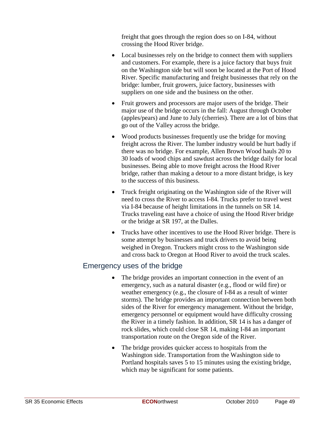freight that goes through the region does so on I-84, without crossing the Hood River bridge.

- Local businesses rely on the bridge to connect them with suppliers and customers. For example, there is a juice factory that buys fruit on the Washington side but will soon be located at the Port of Hood River. Specific manufacturing and freight businesses that rely on the bridge: lumber, fruit growers, juice factory, businesses with suppliers on one side and the business on the other.
- Fruit growers and processors are major users of the bridge. Their major use of the bridge occurs in the fall: August through October (apples/pears) and June to July (cherries). There are a lot of bins that go out of the Valley across the bridge.
- Wood products businesses frequently use the bridge for moving freight across the River. The lumber industry would be hurt badly if there was no bridge. For example, Allen Brown Wood hauls 20 to 30 loads of wood chips and sawdust across the bridge daily for local businesses. Being able to move freight across the Hood River bridge, rather than making a detour to a more distant bridge, is key to the success of this business.
- Truck freight originating on the Washington side of the River will need to cross the River to access I-84. Trucks prefer to travel west via I-84 because of height limitations in the tunnels on SR 14. Trucks traveling east have a choice of using the Hood River bridge or the bridge at SR 197, at the Dalles.
- Trucks have other incentives to use the Hood River bridge. There is some attempt by businesses and truck drivers to avoid being weighed in Oregon. Truckers might cross to the Washington side and cross back to Oregon at Hood River to avoid the truck scales.

#### Emergency uses of the bridge

- The bridge provides an important connection in the event of an emergency, such as a natural disaster (e.g., flood or wild fire) or weather emergency (e.g., the closure of I-84 as a result of winter storms). The bridge provides an important connection between both sides of the River for emergency management. Without the bridge, emergency personnel or equipment would have difficulty crossing the River in a timely fashion. In addition, SR 14 is has a danger of rock slides, which could close SR 14, making I-84 an important transportation route on the Oregon side of the River.
- The bridge provides quicker access to hospitals from the Washington side. Transportation from the Washington side to Portland hospitals saves 5 to 15 minutes using the existing bridge, which may be significant for some patients.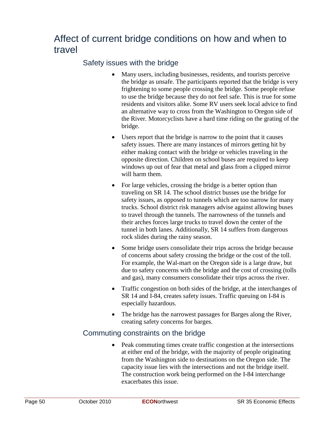### Affect of current bridge conditions on how and when to travel

#### Safety issues with the bridge

- Many users, including businesses, residents, and tourists perceive the bridge as unsafe. The participants reported that the bridge is very frightening to some people crossing the bridge. Some people refuse to use the bridge because they do not feel safe. This is true for some residents and visitors alike. Some RV users seek local advice to find an alternative way to cross from the Washington to Oregon side of the River. Motorcyclists have a hard time riding on the grating of the bridge.
- Users report that the bridge is narrow to the point that it causes safety issues. There are many instances of mirrors getting hit by either making contact with the bridge or vehicles traveling in the opposite direction. Children on school buses are required to keep windows up out of fear that metal and glass from a clipped mirror will harm them.
- For large vehicles, crossing the bridge is a better option than traveling on SR 14. The school district busses use the bridge for safety issues, as opposed to tunnels which are too narrow for many trucks. School district risk managers advise against allowing buses to travel through the tunnels. The narrowness of the tunnels and their arches forces large trucks to travel down the center of the tunnel in both lanes. Additionally, SR 14 suffers from dangerous rock slides during the rainy season.
- Some bridge users consolidate their trips across the bridge because of concerns about safety crossing the bridge or the cost of the toll. For example, the Wal-mart on the Oregon side is a large draw, but due to safety concerns with the bridge and the cost of crossing (tolls and gas), many consumers consolidate their trips across the river.
- Traffic congestion on both sides of the bridge, at the interchanges of SR 14 and I-84, creates safety issues. Traffic queuing on I-84 is especially hazardous.
- The bridge has the narrowest passages for Barges along the River, creating safety concerns for barges.

#### Commuting constraints on the bridge

• Peak commuting times create traffic congestion at the intersections at either end of the bridge, with the majority of people originating from the Washington side to destinations on the Oregon side. The capacity issue lies with the intersections and not the bridge itself. The construction work being performed on the I-84 interchange exacerbates this issue.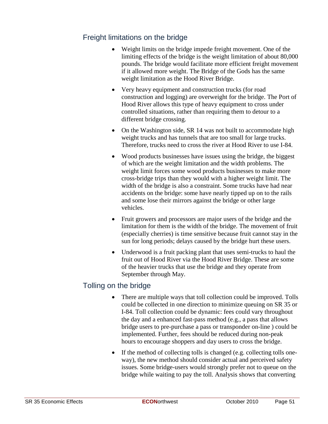#### Freight limitations on the bridge

- Weight limits on the bridge impede freight movement. One of the limiting effects of the bridge is the weight limitation of about 80,000 pounds. The bridge would facilitate more efficient freight movement if it allowed more weight. The Bridge of the Gods has the same weight limitation as the Hood River Bridge.
- Very heavy equipment and construction trucks (for road construction and logging) are overweight for the bridge. The Port of Hood River allows this type of heavy equipment to cross under controlled situations, rather than requiring them to detour to a different bridge crossing.
- On the Washington side, SR 14 was not built to accommodate high weight trucks and has tunnels that are too small for large trucks. Therefore, trucks need to cross the river at Hood River to use I-84.
- Wood products businesses have issues using the bridge, the biggest of which are the weight limitation and the width problems. The weight limit forces some wood products businesses to make more cross-bridge trips than they would with a higher weight limit. The width of the bridge is also a constraint. Some trucks have had near accidents on the bridge: some have nearly tipped up on to the rails and some lose their mirrors against the bridge or other large vehicles.
- Fruit growers and processors are major users of the bridge and the limitation for them is the width of the bridge. The movement of fruit (especially cherries) is time sensitive because fruit cannot stay in the sun for long periods; delays caused by the bridge hurt these users.
- Underwood is a fruit packing plant that uses semi-trucks to haul the fruit out of Hood River via the Hood River Bridge. These are some of the heavier trucks that use the bridge and they operate from September through May.

#### Tolling on the bridge

- There are multiple ways that toll collection could be improved. Tolls could be collected in one direction to minimize queuing on SR 35 or I-84. Toll collection could be dynamic: fees could vary throughout the day and a enhanced fast-pass method (e.g., a pass that allows bridge users to pre-purchase a pass or transponder on-line ) could be implemented. Further, fees should be reduced during non-peak hours to encourage shoppers and day users to cross the bridge.
- If the method of collecting tolls is changed (e.g. collecting tolls oneway), the new method should consider actual and perceived safety issues. Some bridge-users would strongly prefer not to queue on the bridge while waiting to pay the toll. Analysis shows that converting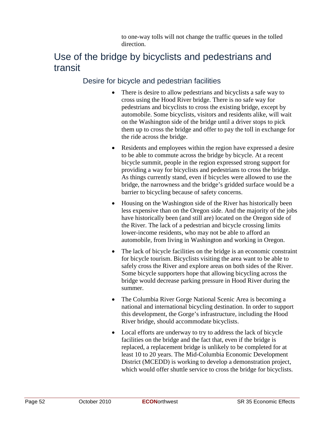to one-way tolls will not change the traffic queues in the tolled direction.

### Use of the bridge by bicyclists and pedestrians and transit

#### Desire for bicycle and pedestrian facilities

- There is desire to allow pedestrians and bicyclists a safe way to cross using the Hood River bridge. There is no safe way for pedestrians and bicyclists to cross the existing bridge, except by automobile. Some bicyclists, visitors and residents alike, will wait on the Washington side of the bridge until a driver stops to pick them up to cross the bridge and offer to pay the toll in exchange for the ride across the bridge.
- Residents and employees within the region have expressed a desire to be able to commute across the bridge by bicycle. At a recent bicycle summit, people in the region expressed strong support for providing a way for bicyclists and pedestrians to cross the bridge. As things currently stand, even if bicycles were allowed to use the bridge, the narrowness and the bridge's gridded surface would be a barrier to bicycling because of safety concerns.
- Housing on the Washington side of the River has historically been less expensive than on the Oregon side. And the majority of the jobs have historically been (and still are) located on the Oregon side of the River. The lack of a pedestrian and bicycle crossing limits lower-income residents, who may not be able to afford an automobile, from living in Washington and working in Oregon.
- The lack of bicycle facilities on the bridge is an economic constraint for bicycle tourism. Bicyclists visiting the area want to be able to safely cross the River and explore areas on both sides of the River. Some bicycle supporters hope that allowing bicycling across the bridge would decrease parking pressure in Hood River during the summer.
- The Columbia River Gorge National Scenic Area is becoming a national and international bicycling destination. In order to support this development, the Gorge's infrastructure, including the Hood River bridge, should accommodate bicyclists.
- Local efforts are underway to try to address the lack of bicycle facilities on the bridge and the fact that, even if the bridge is replaced, a replacement bridge is unlikely to be completed for at least 10 to 20 years. The Mid-Columbia Economic Development District (MCEDD) is working to develop a demonstration project, which would offer shuttle service to cross the bridge for bicyclists.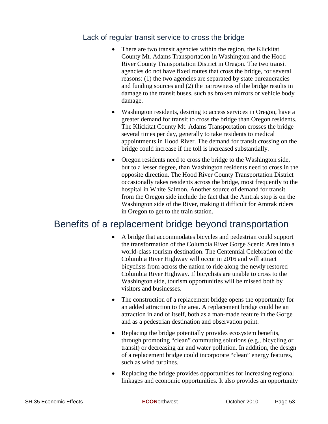#### Lack of regular transit service to cross the bridge

- There are two transit agencies within the region, the Klickitat County Mt. Adams Transportation in Washington and the Hood River County Transportation District in Oregon. The two transit agencies do not have fixed routes that cross the bridge, for several reasons: (1) the two agencies are separated by state bureaucracies and funding sources and (2) the narrowness of the bridge results in damage to the transit buses, such as broken mirrors or vehicle body damage.
- Washington residents, desiring to access services in Oregon, have a greater demand for transit to cross the bridge than Oregon residents. The Klickitat County Mt. Adams Transportation crosses the bridge several times per day, generally to take residents to medical appointments in Hood River. The demand for transit crossing on the bridge could increase if the toll is increased substantially.
- Oregon residents need to cross the bridge to the Washington side, but to a lesser degree, than Washington residents need to cross in the opposite direction. The Hood River County Transportation District occasionally takes residents across the bridge, most frequently to the hospital in White Salmon. Another source of demand for transit from the Oregon side include the fact that the Amtrak stop is on the Washington side of the River, making it difficult for Amtrak riders in Oregon to get to the train station.

### Benefits of a replacement bridge beyond transportation

- A bridge that accommodates bicycles and pedestrian could support the transformation of the Columbia River Gorge Scenic Area into a world-class tourism destination. The Centennial Celebration of the Columbia River Highway will occur in 2016 and will attract bicyclists from across the nation to ride along the newly restored Columbia River Highway. If bicyclists are unable to cross to the Washington side, tourism opportunities will be missed both by visitors and businesses.
- The construction of a replacement bridge opens the opportunity for an added attraction to the area. A replacement bridge could be an attraction in and of itself, both as a man-made feature in the Gorge and as a pedestrian destination and observation point.
- Replacing the bridge potentially provides ecosystem benefits, through promoting "clean" commuting solutions (e.g., bicycling or transit) or decreasing air and water pollution. In addition, the design of a replacement bridge could incorporate "clean" energy features, such as wind turbines.
- Replacing the bridge provides opportunities for increasing regional linkages and economic opportunities. It also provides an opportunity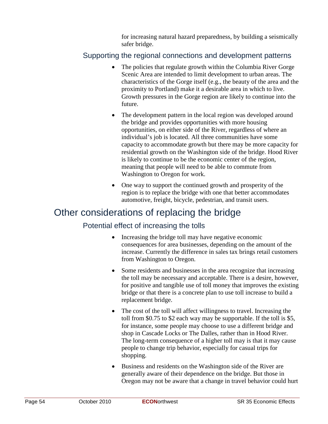for increasing natural hazard preparedness, by building a seismically safer bridge.

#### Supporting the regional connections and development patterns

- The policies that regulate growth within the Columbia River Gorge Scenic Area are intended to limit development to urban areas. The characteristics of the Gorge itself (e.g., the beauty of the area and the proximity to Portland) make it a desirable area in which to live. Growth pressures in the Gorge region are likely to continue into the future.
- The development pattern in the local region was developed around the bridge and provides opportunities with more housing opportunities, on either side of the River, regardless of where an individual's job is located. All three communities have some capacity to accommodate growth but there may be more capacity for residential growth on the Washington side of the bridge. Hood River is likely to continue to be the economic center of the region, meaning that people will need to be able to commute from Washington to Oregon for work.
- One way to support the continued growth and prosperity of the region is to replace the bridge with one that better accommodates automotive, freight, bicycle, pedestrian, and transit users.

### Other considerations of replacing the bridge

#### Potential effect of increasing the tolls

- Increasing the bridge toll may have negative economic consequences for area businesses, depending on the amount of the increase. Currently the difference in sales tax brings retail customers from Washington to Oregon.
- Some residents and businesses in the area recognize that increasing the toll may be necessary and acceptable. There is a desire, however, for positive and tangible use of toll money that improves the existing bridge or that there is a concrete plan to use toll increase to build a replacement bridge.
- The cost of the toll will affect willingness to travel. Increasing the toll from \$0.75 to \$2 each way may be supportable. If the toll is \$5, for instance, some people may choose to use a different bridge and shop in Cascade Locks or The Dalles, rather than in Hood River. The long-term consequence of a higher toll may is that it may cause people to change trip behavior, especially for casual trips for shopping.
- Business and residents on the Washington side of the River are generally aware of their dependence on the bridge. But those in Oregon may not be aware that a change in travel behavior could hurt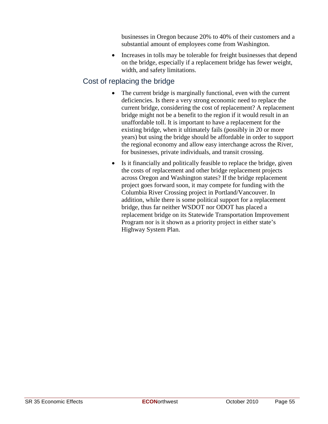businesses in Oregon because 20% to 40% of their customers and a substantial amount of employees come from Washington.

• Increases in tolls may be tolerable for freight businesses that depend on the bridge, especially if a replacement bridge has fewer weight, width, and safety limitations.

#### Cost of replacing the bridge

- The current bridge is marginally functional, even with the current deficiencies. Is there a very strong economic need to replace the current bridge, considering the cost of replacement? A replacement bridge might not be a benefit to the region if it would result in an unaffordable toll. It is important to have a replacement for the existing bridge, when it ultimately fails (possibly in 20 or more years) but using the bridge should be affordable in order to support the regional economy and allow easy interchange across the River, for businesses, private individuals, and transit crossing.
- Is it financially and politically feasible to replace the bridge, given the costs of replacement and other bridge replacement projects across Oregon and Washington states? If the bridge replacement project goes forward soon, it may compete for funding with the Columbia River Crossing project in Portland/Vancouver. In addition, while there is some political support for a replacement bridge, thus far neither WSDOT nor ODOT has placed a replacement bridge on its Statewide Transportation Improvement Program nor is it shown as a priority project in either state's Highway System Plan.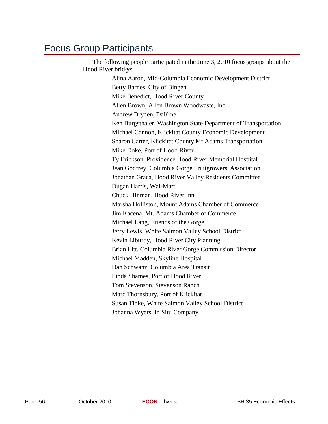### Focus Group Participants

The following people participated in the June 3, 2010 focus groups about the Hood River bridge:

Alina Aaron, Mid-Columbia Economic Development District Betty Barnes, City of Bingen Mike Benedict, Hood River County Allen Brown, Allen Brown Woodwaste, Inc Andrew Bryden, DaKine Ken Burgsthaler, Washington State Department of Transportation Michael Cannon, Klickitat County Economic Development Sharon Carter, Klickitat County Mt Adams Transportation Mike Doke, Port of Hood River Ty Erickson, Providence Hood River Memorial Hospital Jean Godfrey, Columbia Gorge Fruitgrowers' Association Jonathan Graca, Hood River Valley Residents Committee Dugan Harris, Wal-Mart Chuck Hinman, Hood River Inn Marsha Holliston, Mount Adams Chamber of Commerce Jim Kacena, Mt. Adams Chamber of Commerce Michael Lang, Friends of the Gorge Jerry Lewis, White Salmon Valley School District Kevin Liburdy, Hood River City Planning Brian Litt, Columbia River Gorge Commission Director Michael Madden, Skyline Hospital Dan Schwanz, Columbia Area Transit Linda Shames, Port of Hood River Tom Stevenson, Stevenson Ranch Marc Thornsbury, Port of Klickitat Susan Tibke, White Salmon Valley School District Johanna Wyers, In Situ Company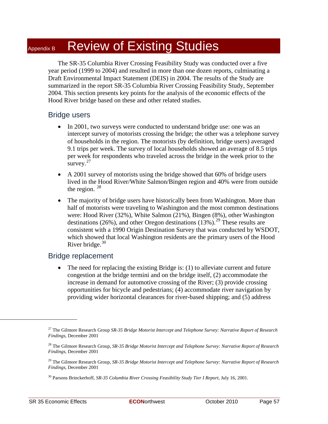## Appendix B Review of Existing Studies

The SR-35 Columbia River Crossing Feasibility Study was conducted over a five year period (1999 to 2004) and resulted in more than one dozen reports, culminating a Draft Environmental Impact Statement (DEIS) in 2004. The results of the Study are summarized in the report SR-35 Columbia River Crossing Feasibility Study, September 2004. This section presents key points for the analysis of the economic effects of the Hood River bridge based on these and other related studies.

#### Bridge users

- In 2001, two surveys were conducted to understand bridge use: one was an intercept survey of motorists crossing the bridge; the other was a telephone survey of households in the region. The motorists (by definition, bridge users) averaged 9.1 trips per week. The survey of local households showed an average of 8.5 trips per week for respondents who traveled across the bridge in the week prior to the survey. $27$
- A 2001 survey of motorists using the bridge showed that 60% of bridge users lived in the Hood River/White Salmon/Bingen region and 40% were from outside the region.  $^{28}$  $^{28}$  $^{28}$
- The majority of bridge users have historically been from Washington. More than half of motorists were traveling to Washington and the most common destinations were: Hood River (32%), White Salmon (21%), Bingen (8%), other Washington destinations (26%), and other Oregon destinations (13%).<sup>[29](#page-66-2)</sup> These results are consistent with a 1990 Origin Destination Survey that was conducted by WSDOT, which showed that local Washington residents are the primary users of the Hood River bridge.<sup>[30](#page-66-3)</sup>

#### Bridge replacement

• The need for replacing the existing Bridge is: (1) to alleviate current and future congestion at the bridge termini and on the bridge itself, (2) accommodate the increase in demand for automotive crossing of the River; (3) provide crossing opportunities for bicycle and pedestrians; (4) accommodate river navigation by providing wider horizontal clearances for river-based shipping; and (5) address

<span id="page-66-0"></span><sup>27</sup> The Gilmore Research Group *SR-35 Bridge Motorist Intercept and Telephone Survey: Narrative Report of Research Findings*, December 2001

<span id="page-66-1"></span><sup>28</sup> The Gilmore Research Group, *SR-35 Bridge Motorist Intercept and Telephone Survey: Narrative Report of Research Findings*, December 2001

<span id="page-66-2"></span><sup>29</sup> The Gilmore Research Group, *SR-35 Bridge Motorist Intercept and Telephone Survey: Narrative Report of Research Findings*, December 2001

<span id="page-66-3"></span><sup>30</sup> Parsons Brinckerhoff, *SR-35 Columbia River Crossing Feasibility Study Tier I Report*, July 16, 2001.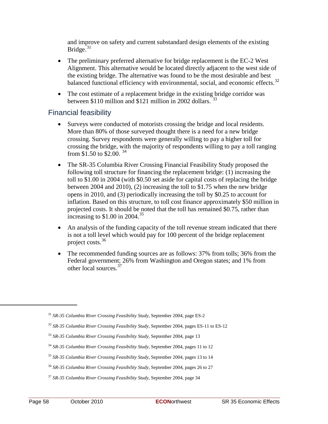and improve on safety and current substandard design elements of the existing Bridge. $31$ 

- The preliminary preferred alternative for bridge replacement is the EC-2 West Alignment. This alternative would be located directly adjacent to the west side of the existing bridge. The alternative was found to be the most desirable and best balanced functional efficiency with environmental, social, and economic effects.<sup>[32](#page-67-1)</sup>
- The cost estimate of a replacement bridge in the existing bridge corridor was between \$110 million and \$121 million in 2002 dollars.  $33$

#### Financial feasibility

- Surveys were conducted of motorists crossing the bridge and local residents. More than 80% of those surveyed thought there is a need for a new bridge crossing. Survey respondents were generally willing to pay a higher toll for crossing the bridge, with the majority of respondents willing to pay a toll ranging from \$1.50 to \$2.00.<sup>[34](#page-67-3)</sup>
- The SR-35 Columbia River Crossing Financial Feasibility Study proposed the following toll structure for financing the replacement bridge: (1) increasing the toll to \$1.00 in 2004 (with \$0.50 set aside for capital costs of replacing the bridge between 2004 and 2010), (2) increasing the toll to \$1.75 when the new bridge opens in 2010, and (3) periodically increasing the toll by \$0.25 to account for inflation. Based on this structure, to toll cost finance approximately \$50 million in projected costs. It should be noted that the toll has remained \$0.75, rather than increasing to  $$1.00$  in 2004.<sup>[35](#page-67-4)</sup>
- An analysis of the funding capacity of the toll revenue stream indicated that there is not a toll level which would pay for 100 percent of the bridge replacement project costs.[36](#page-67-5)
- The recommended funding sources are as follows: 37% from tolls; 36% from the Federal government; 26% from Washington and Oregon states; and 1% from other local sources.<sup>[37](#page-67-6)</sup>

<span id="page-67-0"></span><sup>31</sup> *SR-35 Columbia River Crossing Feasibility Study*, September 2004, page ES-2

<span id="page-67-1"></span><sup>32</sup> *SR-35 Columbia River Crossing Feasibility Study*, September 2004, pages ES-11 to ES-12

<span id="page-67-2"></span><sup>33</sup> *SR-35 Columbia River Crossing Feasibility Study*, September 2004, page 13

<span id="page-67-3"></span><sup>34</sup> *SR-35 Columbia River Crossing Feasibility Study*, September 2004, pages 11 to 12

<span id="page-67-4"></span><sup>35</sup> *SR-35 Columbia River Crossing Feasibility Study*, September 2004, pages 13 to 14

<span id="page-67-5"></span><sup>36</sup> *SR-35 Columbia River Crossing Feasibility Study*, September 2004, pages 26 to 27

<span id="page-67-6"></span><sup>37</sup> *SR-35 Columbia River Crossing Feasibility Study*, September 2004, page 34